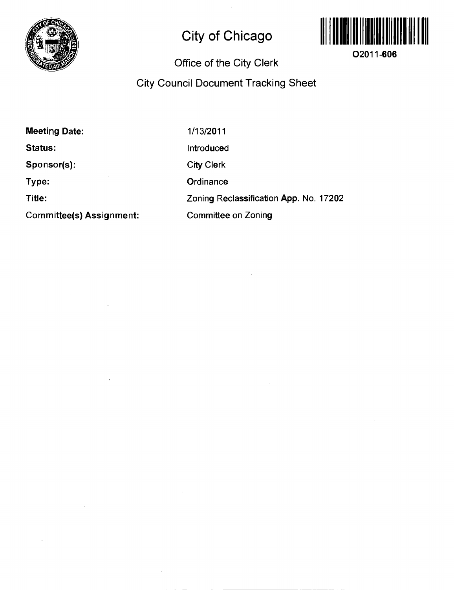

# **City of Chicago**



**O2011-606** 

## **Office of the City Clerk**

## **City Council Document Tracking Sheet**

**Meeting Date: Status: Sponsor(s): Type: Title: Committee(s) Assignment:**  1/13/2011 Introduced City Clerk **Ordinance** Zoning Reclassification App. No. 17202 Committee on Zoning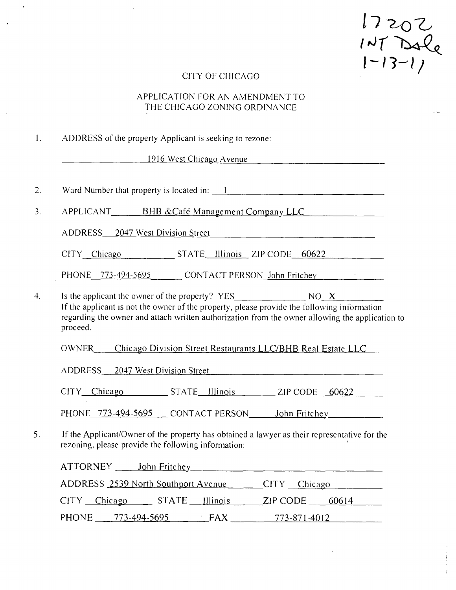$17202$ <br> $147$  Dale<br> $1-13-1$ 

## CITY OF CHICAGO

## APPLICATION FOR AN AMENDMENT TO THE CHICAGO ZONING ORDINANCE

|  |  |  |  | ADDRESS of the property Applicant is seeking to rezone: |
|--|--|--|--|---------------------------------------------------------|
|--|--|--|--|---------------------------------------------------------|

1916 West Chicago Avenue

| 2.               | Ward Number that property is located in: 1                                                                                                                                                                                                                                 |
|------------------|----------------------------------------------------------------------------------------------------------------------------------------------------------------------------------------------------------------------------------------------------------------------------|
| 3.               | APPLICANT_______BHB &Café Management Company LLC                                                                                                                                                                                                                           |
|                  | ADDRESS 2047 West Division Street                                                                                                                                                                                                                                          |
|                  | CITY Chicago STATE Illinois ZIP CODE 60622                                                                                                                                                                                                                                 |
|                  | PHONE 773-494-5695 CONTACT PERSON John Fritchey                                                                                                                                                                                                                            |
| $\overline{4}$ . | Is the applicant the owner of the property? $YES$ NO $X$ NO $X$ If the applicant is not the owner of the property, please provide the following information<br>regarding the owner and attach written authorization from the owner allowing the application to<br>proceed. |
|                  | OWNER____Chicago Division Street Restaurants LLC/BHB Real Estate LLC<br>ADDRESS 2047 West Division Street                                                                                                                                                                  |
|                  | CITY Chicago STATE Illinois 2IP CODE 60622                                                                                                                                                                                                                                 |
|                  | PHONE 773-494-5695 CONTACT PERSON John Fritchey                                                                                                                                                                                                                            |
| 5.               | If the Applicant/Owner of the property has obtained a lawyer as their representative for the<br>rezoning, please provide the following information:                                                                                                                        |
|                  | ATTORNEY John Fritchey Manuel ATTORNEY                                                                                                                                                                                                                                     |
|                  | ADDRESS 2539 North Southport Avenue CITY Chicago                                                                                                                                                                                                                           |
|                  | CITY Chicago STATE Illinois<br>$ZIP$ CODE 60614                                                                                                                                                                                                                            |

PHONE 773-494-5695 FAX 773-871-4012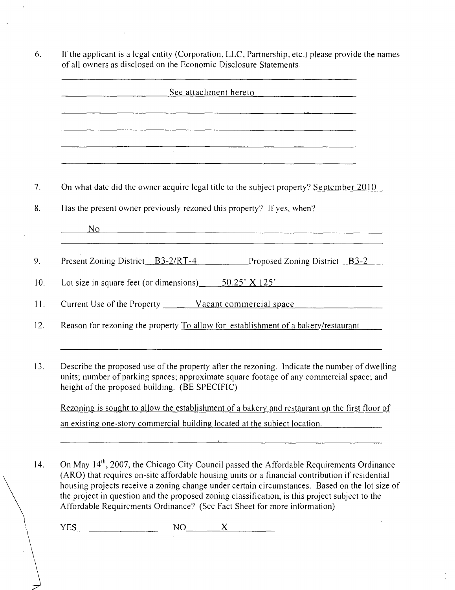| See attachment hereto                                                                                                                                                                                                                                                                                                                                           |
|-----------------------------------------------------------------------------------------------------------------------------------------------------------------------------------------------------------------------------------------------------------------------------------------------------------------------------------------------------------------|
|                                                                                                                                                                                                                                                                                                                                                                 |
| <u> 1980 - Jan Barbara (j. 1980)</u>                                                                                                                                                                                                                                                                                                                            |
| On what date did the owner acquire legal title to the subject property? September 2010                                                                                                                                                                                                                                                                          |
| Has the present owner previously rezoned this property? If ves, when?                                                                                                                                                                                                                                                                                           |
| <u>No established and the set of the set of the set of the set of the set of the set of the set of the set of the set of the set of the set of the set of the set of the set of the set of the set of the set of the set of the </u><br><u> 1980 - John Stone, mars et al. 1980 - Ann an Indian Stone Ann an Indian Stone Ann an Indian Stone Ann an Indian</u> |
| Present Zoning District B3-2/RT-4 Proposed Zoning District B3-2                                                                                                                                                                                                                                                                                                 |
| Lot size in square feet (or dimensions) $\qquad 50.25' \times 125'$                                                                                                                                                                                                                                                                                             |
|                                                                                                                                                                                                                                                                                                                                                                 |
| Reason for rezoning the property To allow for establishment of a bakery/restaurant                                                                                                                                                                                                                                                                              |
| Describe the proposed use of the property after the rezoning. Indicate the number of dwelling<br>units; number of parking spaces; approximate square footage of any commercial space; and<br>height of the proposed building. (BE SPECIFIC)                                                                                                                     |
| Rezoning is sought to allow the establishment of a bakery and restaurant on the first floor of                                                                                                                                                                                                                                                                  |
| an existing one-story commercial building located at the subject location.                                                                                                                                                                                                                                                                                      |

 $\mathbf{r}$ 

(ARO) that requires on-site affordable housing units or a financial contribution if residential housing projects receive a zoning change under certain circumstances. Based on the lot size of the project in question and the proposed zoning classification, is this project subject lo the Affordable Requirements Ordinance? (See Fact Sheet for more information)

 $\mathbb{Z}$ 

 $YES$   $NO$   $X$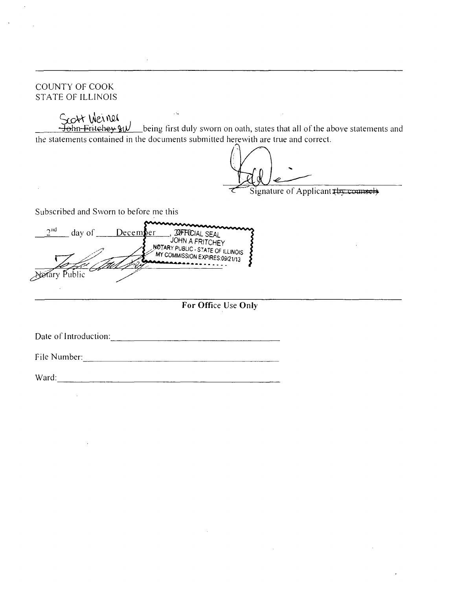#### COUNTY OF COOK STATE OF ILLINOIS

Scort Wennell<br>Hohn Fritchey  $y_1y$  being first duly sworn on oath, states that all of the above statements and the statements contained in the documents submitted herewith are true and correct.

Signature of Applicant thy counsel

Subscribed and Sworn lo before me this

 $2<sup>nd</sup>$  day of <u>December</u> JOHN A FRITCHEY MOTARY PUBLIC - STATE OF ILLINOIS MY COMMISSION EXPIRES:09/21/13 Herary Public

## **For Office Use Only**

Dale of Introduction:

File Number:\_

Ward: ward: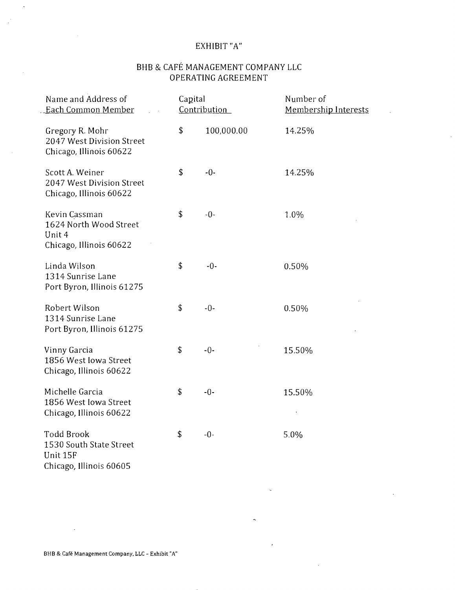## EXHIBIT "A"

## BHB & CAFE MANAGEMENT COMPANY LLC OPERATING AGREEMENT

| Name and Address of<br>Each Common Member                                    | Capital | Contribution | Number of<br>Membership Interests |
|------------------------------------------------------------------------------|---------|--------------|-----------------------------------|
| Gregory R. Mohr<br>2047 West Division Street<br>Chicago, Illinois 60622      | \$      | 100,000.00   | 14.25%                            |
| Scott A. Weiner<br>2047 West Division Street<br>Chicago, Illinois 60622      | \$      | $-0-$        | 14.25%                            |
| Kevin Cassman<br>1624 North Wood Street<br>Unit 4<br>Chicago, Illinois 60622 | \$      | $-0-$        | 1.0%                              |
| Linda Wilson<br>1314 Sunrise Lane<br>Port Byron, Illinois 61275              | \$      | $-0-$        | 0.50%                             |
| Robert Wilson<br>1314 Sunrise Lane<br>Port Byron, Illinois 61275             | \$      | $-0-$        | 0.50%                             |
| Vinny Garcia<br>1856 West Iowa Street<br>Chicago, Illinois 60622             | \$      | $-0-$        | 15.50%                            |
| Michelle Garcia<br>1856 West Iowa Street<br>Chicago, Illinois 60622          | \$      | $-0-$        | 15.50%                            |
| Todd Brook<br>1530 South State Street<br>Unit 15F<br>Chicago, Illinois 60605 | \$      | $-0-$        | 5.0%                              |

 $\bar{z}$ 

BHB & Cafe Management Company, LLC - Exhibit "A"

 $\sim$   $\sim$ 

 $\bar{\mathcal{A}}$ 

 $\alpha$ 

 $\sim$ 

 $\mathbb{R}^2$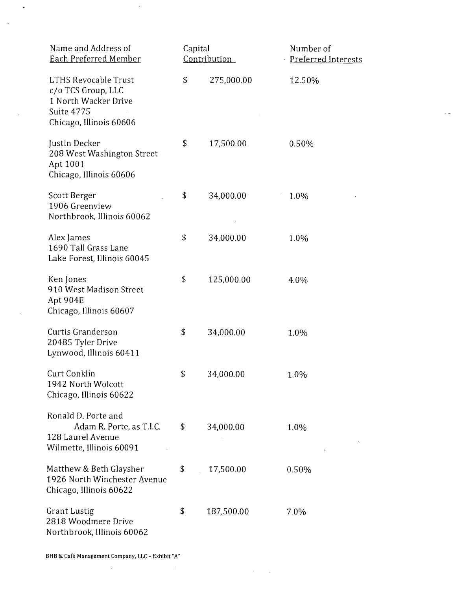| Name and Address of<br><b>Each Preferred Member</b>                                                                       | Capital | Contribution | Number of<br>Preferred Interests |
|---------------------------------------------------------------------------------------------------------------------------|---------|--------------|----------------------------------|
| <b>LTHS Revocable Trust</b><br>c/o TCS Group, LLC<br>1 North Wacker Drive<br><b>Suite 4775</b><br>Chicago, Illinois 60606 | \$      | 275,000.00   | 12.50%                           |
| Justin Decker<br>208 West Washington Street<br>Apt 1001<br>Chicago, Illinois 60606                                        | \$      | 17,500.00    | 0.50%                            |
| Scott Berger<br>1906 Greenview<br>Northbrook, Illinois 60062                                                              | \$      | 34,000.00    | 1.0%                             |
| Alex James<br>1690 Tall Grass Lane<br>Lake Forest, Illinois 60045                                                         | \$      | 34,000.00    | 1.0%                             |
| Ken Jones<br>910 West Madison Street<br>Apt 904E<br>Chicago, Illinois 60607                                               | \$      | 125,000.00   | 4.0%                             |
| Curtis Granderson<br>20485 Tyler Drive<br>Lynwood, Illinois 60411                                                         | \$      | 34,000.00    | 1.0%                             |
| Curt Conklin<br>1942 North Wolcott<br>Chicago, Illinois 60622                                                             | \$      | 34,000.00    | 1.0%                             |
| Ronald D. Porte and<br>Adam R. Porte, as T.I.C.<br>128 Laurel Avenue<br>Wilmette, Illinois 60091                          | \$      | 34,000.00    | 1.0%                             |
| Matthew & Beth Glaysher<br>1926 North Winchester Avenue<br>Chicago, Illinois 60622                                        | \$      | 17,500.00    | 0.50%                            |
| <b>Grant Lustig</b><br>2818 Woodmere Drive<br>Northbrook, Illinois 60062                                                  | \$      | 187,500.00   | 7.0%                             |

 $\mathcal{L}^{\text{max}}_{\text{max}}$ 

 $\sim$ 

 $\sim$ 

 $\sim 100$ 

 $\sim$ 

 $\sim$ 

 $\sim$   $\sim$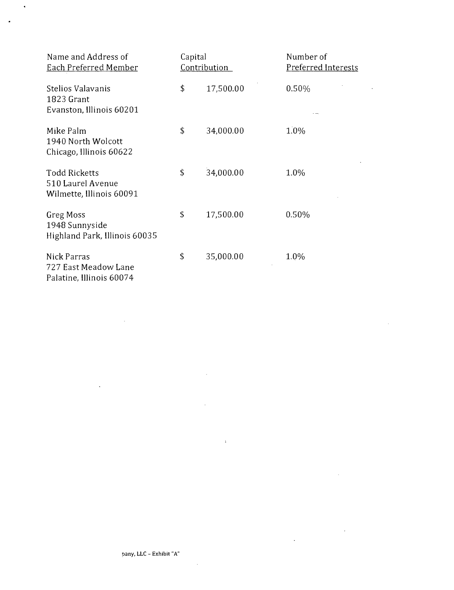| Name and Address of<br><b>Each Preferred Member</b>                   | Capital<br><u>Contribution</u> |           | Number of<br>Preferred Interests |
|-----------------------------------------------------------------------|--------------------------------|-----------|----------------------------------|
| Stelios Valavanis<br>1823 Grant<br>Evanston, Illinois 60201           | \$                             | 17,500.00 | 0.50%                            |
| Mike Palm<br>1940 North Wolcott<br>Chicago, Illinois 60622            | \$                             | 34,000.00 | 1.0%                             |
| <b>Todd Ricketts</b><br>510 Laurel Avenue<br>Wilmette, Illinois 60091 | \$                             | 34,000.00 | 1.0%                             |
| Greg Moss<br>1948 Sunnyside<br>Highland Park, Illinois 60035          | S                              | 17,500.00 | 0.50%                            |
| Nick Parras<br>727 East Meadow Lane<br>Palatine, Illinois 60074       | \$                             | 35,000.00 | 1.0%                             |

 $\bar{z}$ 

J.

 $\sim$ 

 $\cdot$ 

 $\ddot{\phantom{a}}$ 

 $\bar{z}$ 

 $\bar{\beta}$ 

 $\sim$ 

 $\bar{\mathcal{A}}$ 

 $\bullet$ 

 $\bullet$ 

 $\bar{\alpha}$ 

 $\ddot{\phantom{1}}$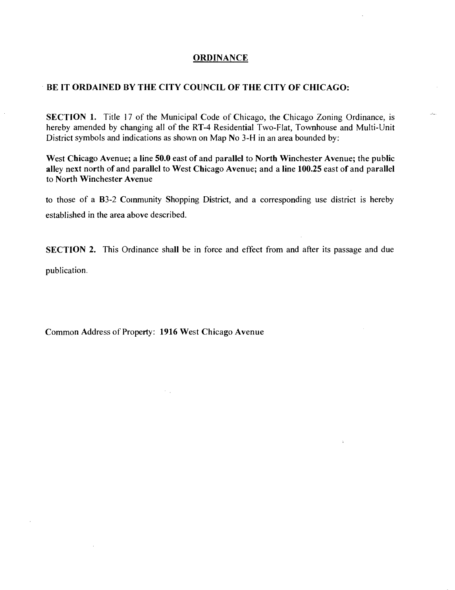#### **ORDINANCE**

#### **BE IT ORDAINED BV THE CITV COUNCIL OF THE CITY OF CHICAGO:**

SECTION 1. Title 17 of the Municipal Code of Chicago, the Chicago Zoning Ordinance, is hereby amended by changing all of the RT-4 Residential Two-Flat, Townhouse and Multi-Unit District symbols and indications as shown on Map No 3-H in an area bounded by:

 $\mathbf{r}$ 

**West Chicago Avenue; a line 50.0 east of and parallel to North Winchester Avenue; the public alley next north of and parallel to West Chicago Avenue; and a line 100.25 east of and parallel to North Winchester Avenue** 

to those of a B3-2 Community Shopping District, and a corresponding use district is hereby established in the area above described.

SECTION 2. This Ordinance shall be in force and effect from and after its passage and due publication.

**Common Address of Property: 1916 West Chicago Avenue** 

 $\mathcal{F}_{\mathcal{A}}$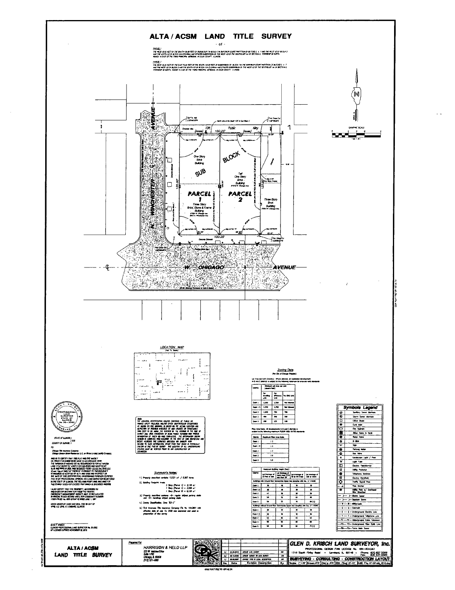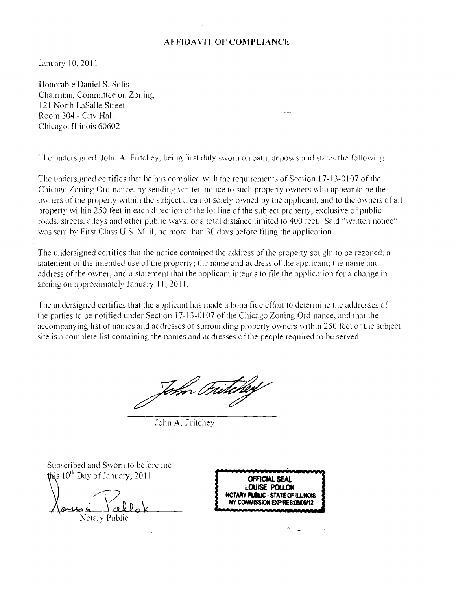#### AFFIDAVIT OF COMPLIANCE

January 10, 2011

Honorable Daniel S. Solis Chaimian, Committee on Zoning 121 North LaSalle Street Room 304 - City Hall Chicago, Illinois 60602

The undersigned. Jolm A. Fritchey, being first duly swom on oath, deposes and states the following:

The undersigned certifies that he has complied with the requirements of Section 17-13-0107 of the Chicago Zoning Ordinance, by sending written notice to such property owners who appear lo be the owners of ihe property within the subject area not solely owned by ihe applicant, and lo the owners ofall property within 250 feet in each direction of the lot line of the subject property, exclusive of public roads, streets, alleys and other public ways, or a total distance limited to 400 feet. Said "written notice" was sent by First Class U.S. Mail, no more than 30 days before filing the application.

The undersigned certifies that the notice contained the address of the property sought to be rezoned; a statement of the intended use of the property; the name and address of the applicant; the name and address of the owner; and a statement that the applicant intends to file the application for a change in zoning on approximately January 11, 2011.

The undersigned certifies that the applicant has made a bona fide effort to determine the addresses of the parties to be notified under Section 17-13-0107 of the Chicago Zoning Ordinance, and that the accompanying list of names and addresses of surrounding property owners within 250 feet of the subject site is a complete list containing the names and addresses of the people required to be served.

John Prin

John A. Fritchey

Subscribed and Swom to before me this  $10^{th}$  Day of January, 2011 Notary Public **OFFICIAL SEAL** LOUISE POI NOTARY PUBLIC - ST MY COMMISSION EXPIRES:09/09/12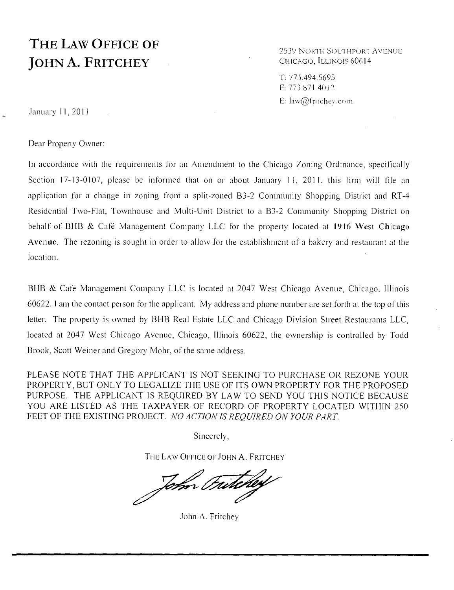# **THE LAW OFFICE OF JOHN A. FRITCHEY**

2539 NORTH SOUTHPORT AVENUE CHICAGO, ILLINOIS 60614

T: 773.494.5695 F: 773.871.4012 E: law@fritchev.com

January 11, 2011

Dear Property Owner:

In accordance with the requirements for an Amendment to the Chicago Zoning Ordinance, specifically Section 17-13-0107, please be informed that on or about January 11, 2011, this firm will file an application for a change in zoning from a split-zoned B3-2 Community Shopping District and RT-4 Residential Two-Flat, Townhouse and Multi-Unit District to a B3-2 Community Shopping District on behalf of BHB & Café Management Company LLC for the property located at 1916 West Chicago Avenue. The rezoning is sought in order to allow for the establishment of a bakery and restaurant at the location.

BHB & Café Management Company LLC is located at 2047 West Chicago Avenue, Chicago, Illinois 60622. 1 am the contact person for the applicant. My address and phone number are set forth at the top of this letter. The property is owned by BHB Real Estate LLC and Chicago Division Street Restaurants LLC, located at 2047 West Chicago Avenue, Chicago, Illinois 60622, the ownership is controlled by Todd Brook, Scott Weiner and Gregory Mohr, of the same address.

PLEASE NOTE THAT THE APPLICANT IS NOT SEEKING TO PURCHASE OR REZONE YOUR *PROPERTY, BUT ONLY TO LEGALIZE THE USE OF ITS OWN PROPERTY FOR THE PROPOSED*  PURPOSE. THE APPLICANT IS REQUIRED BY LAW TO SEND YOU THIS NOTICE BECAUSE YOU ARE LISTED AS THE TAXPAYER OF RECORD OF PROPERTY LOCATED WITHIN 250 FEET OF THE EXISTING PROJECT. NO ACTION IS REQUIRED ON YOUR PART.

Sincerely,

THE LAW OFFICE OF JOHN A. FRITCHEY

John

John A. Fritchey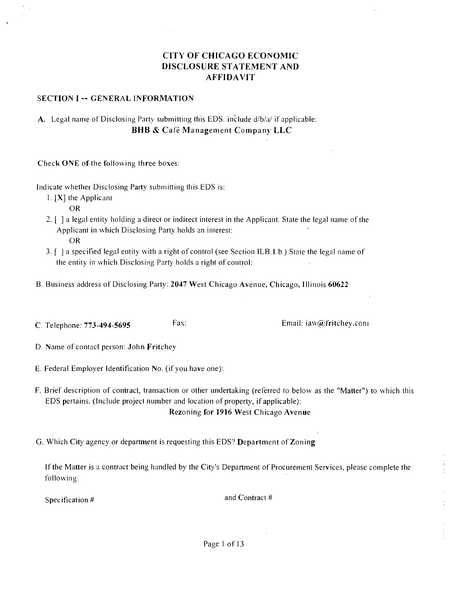## **CITY OF CHICAGO ECONOMIC DISCLOSURE STATEMENT AND AFFIDAVIT**

#### **SECTION I -- GENERAL INFORMATION**

## A. Legal name of Disclosing Party submitting this EDS. include d/b/a/ if applicable: **BHB & Cafe Management Company LLC**

**Check ONE ofthe following three boxes:** 

Indicate whether Disclosing Party submitting this EDS is:

1. [X] the Applicant

OR

- 2. [ ] a legal entity holding a direct or indirect interest in the Applicant. State the legal name of the Applicant in which Disclosing Party holds an interest: **OR**
- 3. [ | a specilied legal entity with a right of control (see Section ILB. I.b.) State the legal name of the entity in which Disclosing Party holds a right of control:
- B. Business address of Disclosing Party: 2047 West Chicago Avenue, Chicago, Illinois 60622
- **C. Telephone: 773-494-5695** Fax: Fax: Email: iaw@fritchey.coni

D. Name of contacl person: John Fritchey

- E. Federal Employer Identification No. (if you have one):
- F. Brief description of contract, transaction or other undertaking (referred to below as the "Matter") to which this EDS pertains. (Include project number and location of property, if applicable):

**Rezoning for 1916 West Chicago Avenue** 

**G. Which Cit}' agency or department is requesting this EDS? Department of Zoning** 

If the Matter is a contract being handled by the City's Department of Procurement Services, please complete the following:

Specification # 2012 and Contract #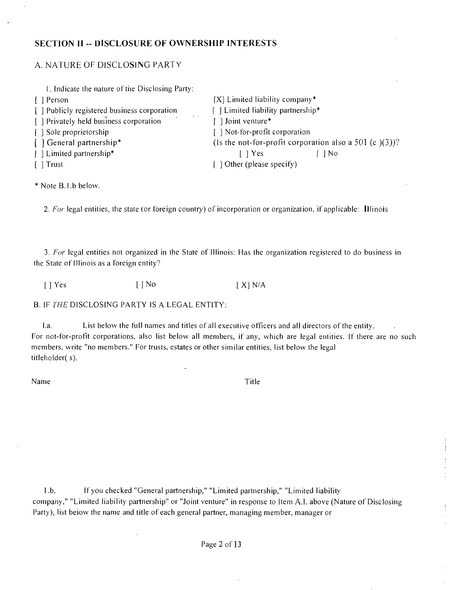#### **SECTION II - DISCLOSURE OF OWNERSHIP INTERESTS**

## A. NATURE OF DISCLOSING PARTY

| 1. Indicate the nature of the Disclosing Party: |                                                           |
|-------------------------------------------------|-----------------------------------------------------------|
| [ ] Person                                      | $[X]$ Limited liability company*                          |
| [ ] Publicly registered business corporation    | $\Box$ Limited liability partnership*                     |
| [ ] Privately held business corporation         | Joint venture*                                            |
| [ ] Sole proprietorship                         | [ ] Not-for-profit corporation                            |
| [] General partnership*                         | (Is the not-for-profit corporation also a 501 (c $(3)$ )? |
| [ ] Limited partnership*                        | $\lceil \ \rceil$ Yes<br>-   No                           |
| $[$ Trust                                       | [ ] Other (please specify)                                |

\* Note B.l.b below.

2. For legal entities, the state (or loreign country) of incorporation or organization, if applicable: Illinois

3. For legal entities not organized in the State of Illinois: Has the organization registered to do business in the State of Illinois as a Ibreign entity?

[ ] Yes [ ] No [X] N/A

B. IF THE DISCLOSING PARTY IS A LEGAL ENTITY:

l.a. List below the full names and titles of all executive officers and all directors of the entity. For not-for-profit corporations, also list below all members, if any, which are legal entities. If there are no such members, write "no members." For trusts, estates or other similar entities, list below the legal titleholder( s).

Name Title

 $\bar{z}$ 

l.b. If you checked "General partnership," "Limited partnership," "Limited liability company," "Limited liability partnership" or "Joint venture" in response to Item A.l. above (Nature of Disclosing Party), list beiow the name and title of each general partner, managing member, manager or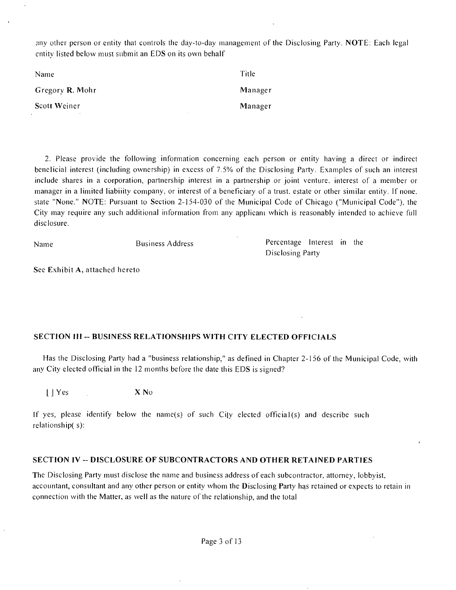any other person or entity that controls the day-to-day management of the Disclosing Party. NOTE: Each legal entity listed below must submit an EDS on its own behalf

| Name            | Title   |
|-----------------|---------|
| Gregory R. Mohr | Manager |
| Scott Weiner    | Manager |

2. Please provide the following information concerning each person or entity having a direct or indirect benelicial interest (including ownership) in excess of 7.5% of the Disclosing Party. Examples of such an interest include shares in a corporation, partnership interest in a partnership or joint venture, interest of a member or manager in a limited liabiiity company, or interest of a beneficiary of a trust, estate or other similar entity. If none, state "None." NOTE: Pursuant to Section 2-154-030 of the Municipal Code of Chicago ("Municipal Code"), the City may require any such additional information from any applicani which is reasonably intended to achieve full disclosure.

| Name | <b>Business Address</b> | Percentage Interest in the |  |  |
|------|-------------------------|----------------------------|--|--|
|      |                         | Disclosing Party           |  |  |

**See Exhibit A, attached hereto** 

#### **SECTION III - BUSINESS RELATIONSHIPS WITH CITV ELECTED OFFICIALS**

Has the Disclosing Party had a "business relationship," as defined in Chapter 2-156 ofthe Municipal Code, with any City elected official in the 12 months before the date this EDS is signed?

IJ Yes X No

If yes, please identify below the name(s) of such Cily elected official(s) and describe such relationship( s):

#### **SECTION IV - DISCLOSURE OF SUBCONTRACTORS AND OTHER RETAINED PARTIES**

The Disclosing Party must disclose the name and business address of each subcontractor, attorney, lobbyist, accountant, consultant and any other person or entity whom the Disclosing Party has retained or expects to retain in connection with the Matter, as well as the nature of the relationship, and the total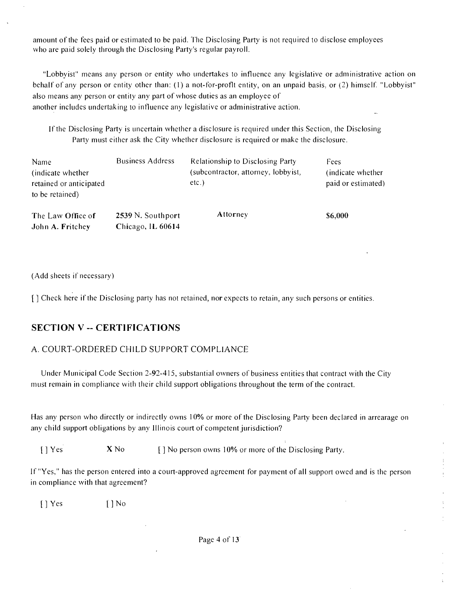amount of the fees paid or estimated to be paid. The Disclosing Party is not required to disclose employees who are paid solely through the Disclosing Party's regular payroll.

"Lobbyist" means any person or entity who undertakes lo infiuence any legislative or administrative action on behalf of any person or entity other than: (1) a not-for-profit entity, on an unpaid basis, or (2) himself. "Lobbyist" also means any person or entity any part of whose duties as an employee of another includes undertaking to influence any legislative or administrative action.

If the Disclosing Party is uncertain whether a disclosure is required under this Section, the Disclosing Parly musl either ask the City whether disclosure is required or make the disclosure.

| Name<br>(indicate whether)<br>retained or anticipated<br>to be retained) | <b>Business Address</b>                | Relationship to Disclosing Party<br>(subcontractor, attorney, lobbyist,<br>etc.) | Fees<br>(indicate whether)<br>paid or estimated) |  |
|--------------------------------------------------------------------------|----------------------------------------|----------------------------------------------------------------------------------|--------------------------------------------------|--|
| The Law Office of<br>John A. Fritchey                                    | 2539 N. Southport<br>Chicago, IL 60614 | Attorney                                                                         | \$6,000                                          |  |

(Add sheets if necessary)

[] Check here if the Disclosing party has not retained, nor expects to retain, any such persons or entities.

## **SECTION V -- CERTIFICATIONS**

## A. COURT-ORDERED CHILD SUPPORT COMPLIANCE

Under Municipal Code Section 2-92-415, substantial owners of business entities that contract with the City must remain in compliance with their child support obligations throughout the term ofthe contract.

Has any person who directly or indirectly owns 10% or more of the Disclosing Party been declared in arrearage on any child support obligations by any Illinois court of competent jurisdiction?

 $[ ]$  Yes  $X$  No  $[ ]$  No person owns 10% or more of the Disclosing Party.

If "Yes," has the person entered into a court-approved agreement for payment of all support owed and is the person in compliance with that agreement?

[] Yes I] No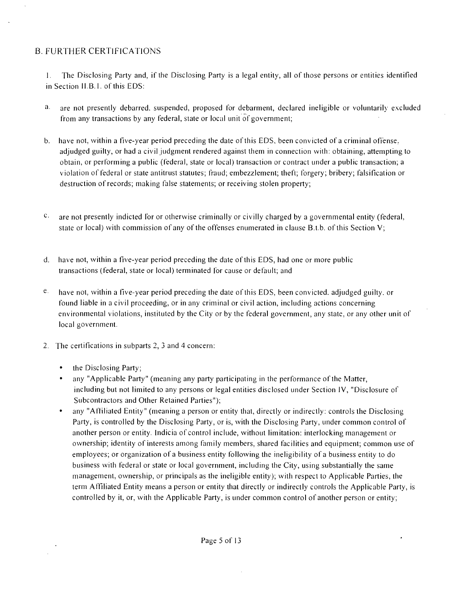## B. FURTHER CERTIFICATIONS

1. The Disclosing Party and, if the Disclosing Party is a legal entity, all of those persons or entities identified in Section II.B. 1. of this EDS:

- a. are not presently debarred, suspended, proposed for debarment, declared ineligible or voluntarily excluded from any transactions by any federal, state or local unit of government;
- have not, within a five-year period preceding the date of this EDS, been convicted of a criminal offense.  $b.$ adjudged guilty, or had a civil judgment rendered against them in connection with: obtaining, attempting to obtain, or performing a public (federal, state or local) transaction or contract under a public transaction; a violation of federal or slate antitrust statutes; fraud; embezzlement; theft; forgery; bribery; falsification or destruction of records; making false statements; or receiving stolen property;
- $C_{\rm{+}}$ are not presently indicted for or otherwise criminally or civilly charged by a governmental entity (federal, state or local) with commission of any of the offenses enumerated in clause B.t.b. of this Section V;
- have not, within a five-year period preceding the date ofthis EDS, had one or more public transactions (federal, state or local) terminated for cause or default; and
- $e_{-}$ have not, within a five-year period preceding the date of this EDS, been convicted, adjudged guilty, or found liable in a civil proceeding, or in any criminal or civil action, including actions concerning environmental violations, instituted by the City or by the federal government, any slate, or any other unil of local government.
- 2. The certifications in subparts 2, 3 and 4 concern:
	- the Disclosing Party;
	- any "Applicable Party" (meaning any party participating in the performance of the Matter, including but not limited to any persons or legal entities disclosed under Section IV, "Disclosure of Subcontractors and Other Retained Parties");
	- any "Affiliated Entity" (meaning a person or entity that, directly or indirectly: controls the Disclosing Party, is controlled by the Disclosing Party, or is, with the Disclosing Party, under common control of another person or entity. Indicia of control include, without limitation: interlocking management or ownership; identity of interests among family members, shared facilities and equipment; common use of employees; or organization of a business entity following the ineligibility of a business entity to do business with federal or state or local government, including the City, using substantially the same management, ownership, or principals as the ineligible entity); with respect to Applicable Parties, the term Affiliated Entity means a person or entity that directly or indirectly controls the Applicable Party, is controlled by it, or, with the Applicable Party, is under common control of another person or entity;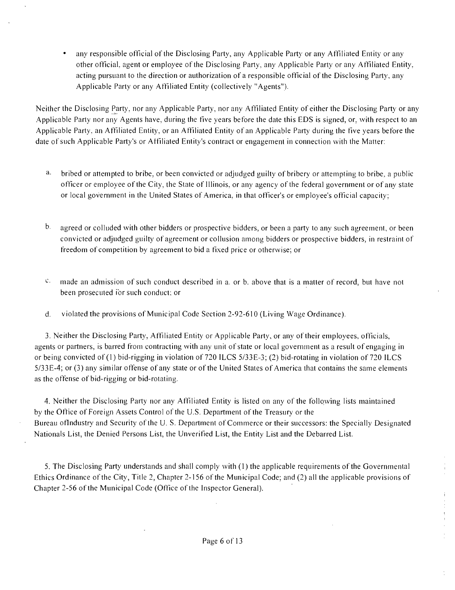• any responsible official of the Disclosing Party, any Applicable Party or any Affiliated Entity or any other official, agent or employee of the Disclosing Party, any Applicable Party or any Affiliated Entity, acting pursuant to the direction or authorization of a responsible official of the Disclosing Party, any .Applicable Party or any Affiliated Entity (collectively "Agents").

Neither the Disclosing Party, nor any Applicable Party, nor any Affiliated Entity of either the Disclosing Party or any .Applicable Party nor any Agents have, during the five years before the date this EDS is signed, or, with respect to an Applicable Party, an Affiliated Entity, or an Affiliated Entity of an Applicable Party during the five years before the date of such Applicable Party's or Affiliated Entity's contract or engagement in connection with the Matter:

- bribed or attempted to bribe, or been convicted or adjudged guilty of bribery or attempting to bribe, a public а. officer or employee ofthe City, the State of Illinois, or any agency ofthe federal government or of any slate or local government in the United States of America, in that officer's or employee's official capacity;
- $\mathbf b$ . agreed or colluded with other bidders or prospective bidders, or been a party to any such agreement, or been convicted or adjudged guilty of agreement or collusion among bidders or prospective bidders, in restraint of freedom of competition by agreement to bid a fixed price or otherwise; or
- $c$  made an admission of such conduct described in a. or b. above that is a matter of record, but have not been prosecuted ibr such conduct; or
- d. violated the provisions of Municipal Code Section 2-92-610 (Living Wage Ordinance).

3. Neither the Disclosing Party, Affiliated Entity or Applicable Party, or any of their employees, officials, agents or partners, is barred from contracting with any unit of state or local governinent as a result of engaging in or being convicted of (1) bid-rigging in violation of 720 ILCS 5/33E-3; (2) bid-rotating in violation of 720 ILCS 5/33E-4; or (3) any similar offense of any state or of the United States of America that contains the same elements as the offense of bid-rigging or bid-rotating.

4. Neither the Disclosing Party nor any Affiliated Entity is listed on any of the following lists maintained by the Office of Foreign Assets Control of the U.S. Departmeni of the Treasury or the Bureau ofIndustry and Security of the U. S. Department of Commerce or their successors: the Specially Designated Nationals List, the Denied Persons List, the Unverified List, the Entity List and the Debarred List.

5. The Disclosing Party understands and shall comply with (1) the applicable requirements of the Governmental Ethics Ordinance ofthe City, Title 2, Chapter 2-1 56 ofthe Municipal Code; and (2) all the applicable provisions of Chapter 2-56 of the Municipal Code (Office of the Inspector General).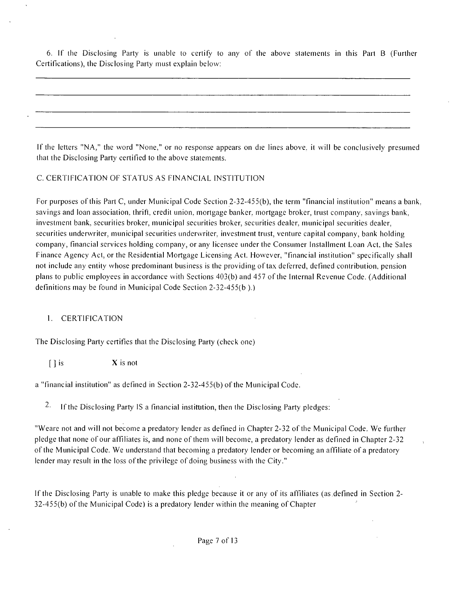6. If the Disclosing Party is unable to certify to any of the above statements in this Pail B (Further Certifications), the Disclosing Parly must explain below:

If the letters "NA," the word "None," or no response appears on die lines above, it will be conclusively presumed that the Disclosing Party certified to the above statements.

#### C. CERTIFICATION OF STATUS AS FINANCIAL INSTITUTION

For purposes ofthis Part C, under Municipal Code Section 2-32-455(b), ihe term "financial institution" means a bank, savings and loan association, thrift, credit union, mortgage banker, mortgage broker, trust company, savings bank, investment bank, securities broker, municipal securities broker, securities dealer, municipal securities dealer, securities underwriter, municipal securities underwriter, investment trust, venture capital company, bank holding company, financial services holding company, or any licensee under the Consumer Installment Loan Acl. ihe Sales Finance Agency Act, or the Residential Mortgage Licensing Act. However, "financial institution" specifically shall not include any entity whose predominant business is the providing of lax deferred, defined contribution, pension plans to public employees in accordance with Sections 403(b) and 457 of ihe Internal Revenue Code. (Additional definitions may be found in Municipal Code Section 2-32-455(b ).)

#### 1. CERTIFICATION

The Disclosing Party certifies that the Disclosing Party (check one)

 $\begin{bmatrix} \end{bmatrix}$  is  $\begin{array}{c} X \end{array}$  is not

a "financial institution" as defined in Section 2-32-455(b) ofthe Municipal Code.

<sup>2.</sup> If the Disclosing Party IS a financial institution, then the Disclosing Party pledges:

"Weare not and will not become a predatory lender as defined in Chapter 2-32 of the Municipal Code. We further pledge that none of our affiliates is, and none of them will become, a predatory lender as defined in Chapter 2-32 ofthe Municipal Code. We understand that becoming a predatory lender or becoming an affiliate of a predatory lender may result in the loss of the privilege of doing business with the City."

If the Disclosing Party is unable to make this pledge because it or any of its affiliates (as .defined in Section 2-  $32-455(b)$  of the Municipal Code) is a predatory lender within the meaning of Chapter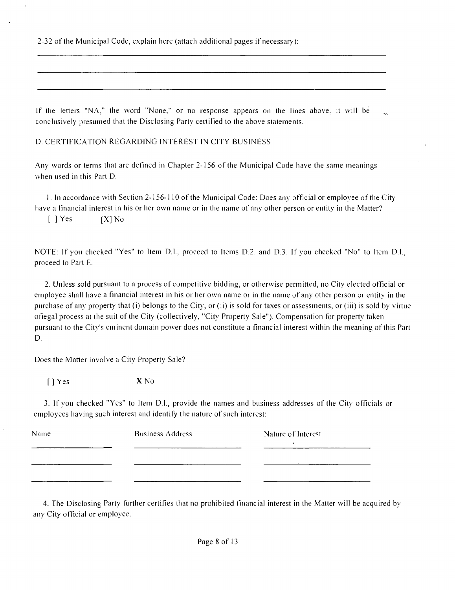2-32 ofthe Municipal Code, explain here (attach additional pages if necessary):

If the letters "NA," the word "None," or no response appears on the lines above, it will be conclusively presumed that the Disclosing Party certilled to the above statements.

D. CERTIFICATION REGARDING INTEREST IN CITY BUSINESS

Any words or terms that are defined in Chapter 2-156 of the Municipal Code have the same meanings. when used in this Part D.

1. In accordance with Section 2-156-1 10 ofthe Municipal Code: Does any official or employee ofthe Cit}' have a financial interest in his or her own name or in the name of any other person or entity in the Matter?

 $[$  ] Yes  $[X]$  No

NOTE: If you checked "Yes" to Item D.I., proceed lo Items D.2. and D,3. If you checked "No" to Item D.l., proceed to Part E.

2. Unless sold pursuant to a process of competitive bidding, or otherwise permitted, no City elected official or employee shall have a financial interest in his or her own name or in the name of any other person or entity in the purchase of any property that (i) belongs to the City, or (ii) is sold for taxes or assessments, or (iii) is sold by virtue ofiegal process at the suit of the City (collectively, "City Property Sale"). Compensation for property taken pursuant to the City's eminent domain power does not constitute a financial interest within the meaning ofthis Part D.

Does the Matter involve a City Property Sale?

f ] Yes X No

3. If you checked "Yes" to Item D.I., provide the names and business addresses of the City officials or employees having such interest and identify the nature of such interest:

| Name | <b>Business Address</b> | Nature of Interest |
|------|-------------------------|--------------------|
|      |                         |                    |
|      |                         |                    |

4. The Disclosing Party further certifies that no prohibited financial interest in the Matter will be acquired by any City official or employee.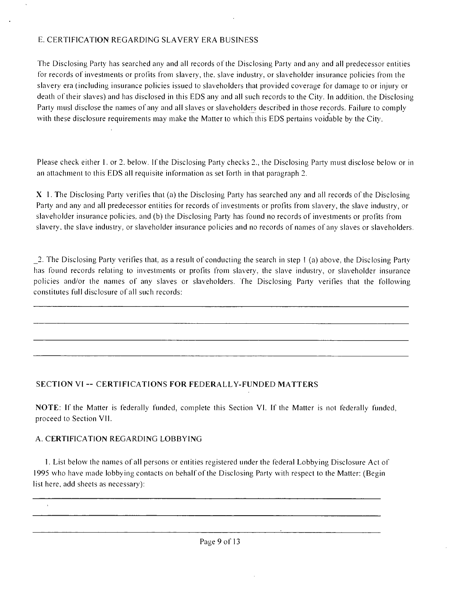#### E. CERTIFICATION REGARDING SLAVERY ERA BUSINESS

The Disclosing Party has searched any and all records of the Disclosing Party and any and all predecessor entities for records of investments or profits from slavery, the. slave industry, or slaveholder insurance policies from the slavery era (including insurance policies issued to slaveholders that provided coverage for damage to or injury or death of their slaves) and has disclosed in this EDS any and all such records to the City. In addition, the Disclosing Party musl disclose ihe names of any and all slaves or slaveholders described in those records. Failure to comply with these disclosure requirements may make the Matter to which this EDS pertains voidable by the City.

Please check either I. or 2. below. If the Disclosing Party checks 2., the Disclosing Party must disclose below or in an attachment to this EDS all requisite information as set forth in that paragraph 2.

X 1. The Disclosing Party verifies that (a) the Disclosing Party has searched any and all records of the Disclosing Party and any and all predecessor entities for records of investments or profits from slavery, the slave industry, or slaveholder insurance policies, and (b) the Disclosing Party has found no records of investments or profits from slavery, the slave industry, or slaveholder insurance policies and no records of names of any slaves or slaveholders.

\_2. The Disclosing Party verifies that, as a result of conducting the search in step ! (a) above, the Disclosing Party has found records relating to investments or profits from slavery, the slave industiy, or slaveholder insurance policies and/or the names of any slaves or slaveholders. The Disclosing Party verifies that the following constitutes full disclosure ofall such records:

#### **SECTION VI -- CERTIFICATIONS FOR FEDERALLY-FUNDED MATTERS**

NOTE: If the Matter is federally funded, complele this Section VI. If the Matter is not federally funded, proceed to Section VII.

#### A. CERTIFICATION REGARDING LOBBYING

1. List below the names of all persons or entities registered under the federal Lobbying Disclosure Act of 1995 who have made lobbying contacts on behalf of the Disclosing Party with respect to the Matter: (Begin list here, add sheets as necessary):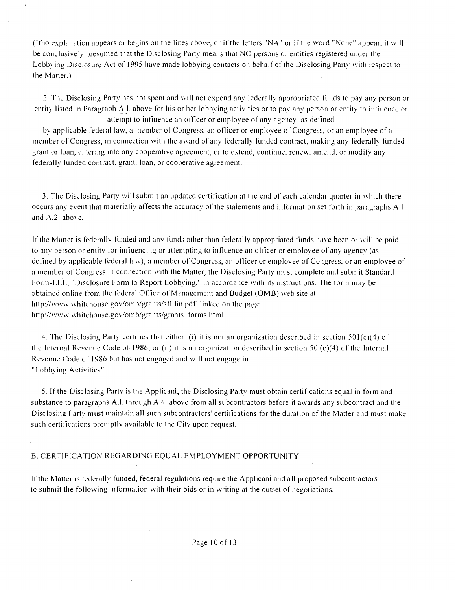(Ifno explanation appears or begins on the lines above, or if the letters "N.A" or ii'the word "None" appear, it will be conclusively presumed that the Disclosing Party means that NO persons or entities registered under the Lobbying Disclosure Act of 1995 have made lobbying contacts on behalf of the Disclosing Party with respect to the Matter.)

2. The Disclosing Party has not spent and will not expend any I'ederally appropriated funds to pay any person or entity listed in Paragraph A.l. above for his or her lobbying activities or to pay any person or entity to infiuence or attempt to infiuence an officer or employee of any agency, as defined

by applicable federal law, a member of Congress, an officer or employee of Congress, or an employee of a member of Congress, in connection with the award of any federally funded contract, making any federally funded grant or loan, entering into any cooperative agreement, or lo extend, continue, renew, amend, or modify any federally funded contract, grant, loan, or cooperative agreement.

3. The Disclosing Party will submit an updated certification at the end of each calendar quarter in which there occurs any event that materialiy affects the accuracy of the staiements and information set forth in paragraphs A.l. and A.2. above.

If the Matter is federally funded and any funds other than federally appropriated fiinds have been or will be paid to any person or entity for infiuencing or attempting to influence an officer or employee of any agency (as defined by applicable federal law), a member of Congress, an officer or employee of Congress, or an employee of a member of Congress in connection with the Matter, the Disclosing Party musl complete and submit Standard Form-LLL, "Disclosure Form to Report Lobbying," in accordance with its instructions. The form may be obtained online from the federal Office of Management and Budget (OMB) web site at http://www.whitehouse.gov/omb/grants/sflilin.pdf linked on the page http://www.whitehouse.gov/omb/grants/grants\_forms.htm I.

4. The Disclosing Party certifies lhat either: (i) it is not an organization described in section 501(c)(4) of the Internal Revenue Code of 1986; or (ii) it is an organization described in section  $50I(c)(4)$  of the Internal Revenue Code of 1986 but has not engaged and will not engage in "Lobbying Activities".

5. If the Disclosing Party is the Applicani, the Disclosing Party must obtain certifications equal in form and substance to paragraphs A.l. through A.4. above from all subcontractors before it awards any subcontract and the Disclosing Party must maintain all such subcontractors' certifications for the duration ofthe Matter and must make such certifications promptly available to the City upon request.

#### B. CERTIFICATION REGARDING EQUAL EMPLOYMENT OPPORTUNITY

If the Matter is federally funded, federal regulations require the Applicani and all proposed subcotttractors. to submit the following information with their bids or in writing at the outset of negotiations.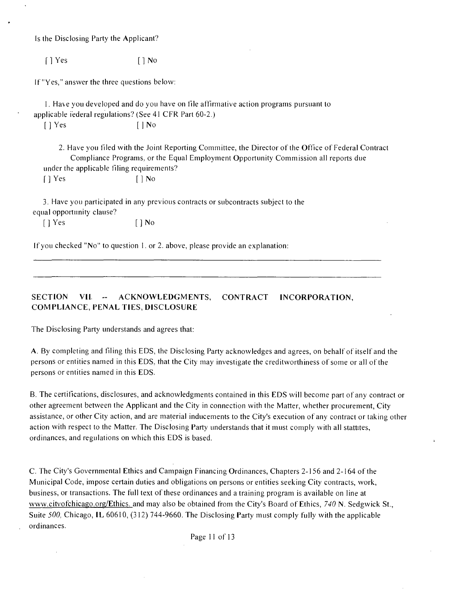Is the Disclosing Party the Applicant?

f 1 Yes [ 1 No

If "Yes," answer the three questions below:

1. Have you developed and do you have on file affirmative action programs pursuant lo applicable iederal regulations? (See 41 CFR Part 60-2.)

 $[$  | Yes  $[$  | No

2. Have you filed with the Joint Reporting Committee, the Director ofthe Office of Federal Contract Compliance Programs, or the Equal Employment Opportunity Commission all reports due under the applicable filing requirements? f ] Yes [ j No

3. Have you participated in any previous contracts or subcontracts subject lo the equal opportunity clause?

[ ] Yes [ ] No

If you checked "No" to question 1. or 2. above, please provide an explanation:

**SECTION VII - ACKNOWLEDGMENTS, CONTRACT INCORPORATION, COMPLIANCE, PENAL TIES, DISCLOSURE** 

The Disclosing Party understands and agrees that:

A. By completing and filing this EDS, ihe Disclosing Party acknowledges and agrees, on behalf of itself and the persons or entities named in this EDS, that the City may investigate the creditworthiness of some or all of the persons or entities named in this EDS.

B. The certifications, disclosures, and acknowledgments contained in this EDS vvill become part of any contract or other agreement between the Applicant and the City in connection with the Matter, whether procurement, City assistance, or other City action, and are material inducements to the City's execution of any contract or taking other action with respect to the Matter. The Disclosing Party understands that it must comply with all stattites, ordinances, and regulations on which this EDS is based.

C. The City's Governmental Ethics and Campaign Financing Ordinances, Chapters 2-156 and 2-164 ofthe Municipal Code, impose certain duties and obligations on persons or entities seeking City contracts, work, business, or transactions. The full text of these ordinances and a training program is available on line at www.citvofchicago.org/Ethics. and may also be obtained from the City's Board of Ethics, 740 N. Sedgwick St., Suite 500, Chicago, IL 60610, (312) 744-9660. The Disclosing Party must comply fully with the applicable ordinances.

Page 11 of 13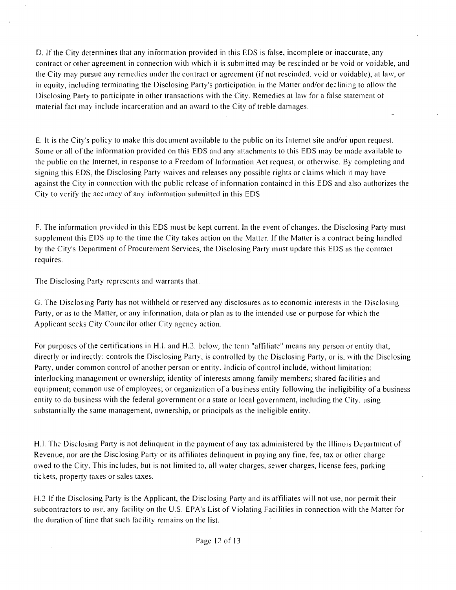D. If the City determines that any information provided in this EDS is false, incomplete or inaccurate, any contract or other agreement in connection with which it is submitted may be rescinded or be void or voidable, and the City may pursue any remedies under the contract or agreemenl (if nol rescinded, void or voidable), at law, or in equity, including terminating the Disclosing Party's participation in the Matter and/or declining to allow the Disclosing Party lo participate in other transactions with the City. Remedies at law for a false statement of material fact mav include incarceration and an award to the City of treble damages.

E. It is the City's policy to make this document available to the public on its Internet site and/or upon request. Some or all ofthe information provided on this EDS and any attachments to this EDS may be made available to the public on the Internet, in response lo a Freedom of Information Act request, or otherwise. By completing and signing this EDS, the Disclosing Party waives and releases any possible rights or claims which it may have against the City in connection with the public release of information contained in this EDS and also authorizes the Citv to verify the accuracy of any infbrmation submitted in this EDS.

F. The information provided in this EDS must be kept current. In the event of changes, the Disclosing Party must supplement this EDS up to the time the City takes action on the Matter. If the Matter is a contract being handled by the City's Department of Procurement Services, the Disclosing Party must update this EDS as the contract requires.

The Disclosing Party represents and warrants that:

G. The Disclosing Party has not withheld or reserved any disclosures as lo economic interests in the Disclosing Party, or as lo the Matter, or any information, data or plan as to the intended use or purpose for which the Applicant seeks City Councilor other City agency action.

For purposes ofthe certifications in H.I. and H.2. below, the term "affiliate" means any person or entity thai, directly or indirectly: controls the Disclosing Party, is controlled by the Disclosing Party, or is, with the Disclosing Party, under common control of another person or entity. Indicia of control include, without limitation: interlocking management or ownership; identity of interests among family members; shared facilities and equipment; common use of employees; or organization of a business entity following the ineligibility of a business entity to do business with the federal government or a state or local government, including the City, using substantially the same management, ownership, or principals as the ineligible entity.

H.l. The Disclosing Party is not delinquent in the payment of any tax administered by the Illinois Department of Revenue, nor are the Disclosing Party or its affiliates delinquent in paying any fine, fee, tax or other charge owed to the City. This includes, but is not limited to, all water charges, sewer charges, license fees, parking tickets, property taxes or sales taxes.

H.2 If the Disclosing Party is the Applicant, the Disclosing Party and ils affiliates will not use, nor permit their subcontractors to use, any facility on the U.S. EPA's List of Violating Facilities in connection with the Matter for the duration of time that such facility remains on the list.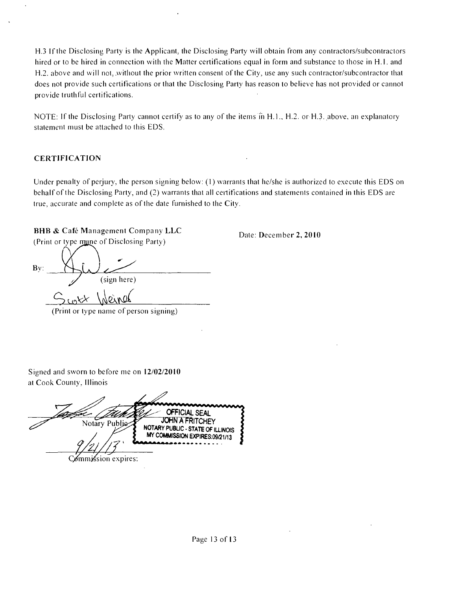H.3 If the Disclosing Party is the Applicant, the Disclosing Party will obtain from any contractors/subcontractors hired or to be hired in connection with the Matter certifications equal in form and substance to those in H.1. and H.2. above and will not, without the prior written consent of the City, use any such contractor/subcontractor that does not provide such cerlifications or that the Disclosing Party has reason to believe has nol provided or cannot provide truthful certifications.

NOTE: If the Disclosing Party cannot certify as to any of the items in H.1., H.2. or H.3. above, an explanatory statement must be attached to this EDS.

#### **CERTIFICATION**

Under penalty of perjury, the person signing below: (1) warrants that he/she is authorized to execute this EDS on behalf of the Disclosing Party, and (2) warrants that all certifications and statements contained in this EDS are true, accurate and complete as of the date furnished to the City.

**Dale: December 2, 2010** 

## **BHB & Cafe Management Company LLC**

(Print or type mine of Disclosing Party)

Bv: (sign here) Switt Weiner

(Print or type name of person signing)

Signed and sworn to before me on 12/02/2010 at Cook County, Illinois

**OFFICIAL SEAL JOHN A FRITCHEY** Notary Public NOTARY PUBLIC - STATE OF ILLINOIS MY COMMISSION EXPIRES:09/21/13 Commission expires: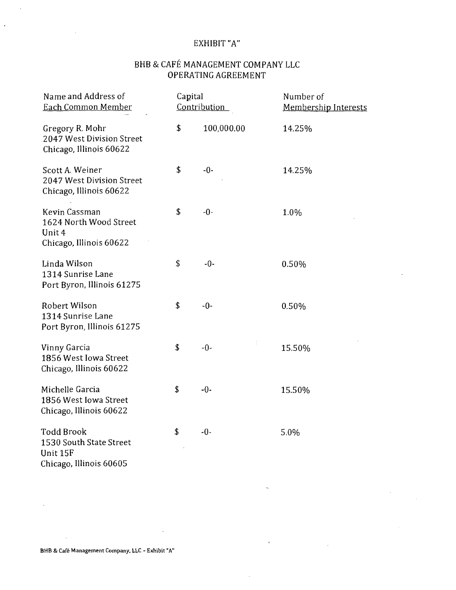## EXHIBIT "A"

## BHB & CAFE MANAGEMENT COMPANY LLC OPERATING AGREEMENT

| Name and Address of<br>Each Common Member                                           | Capital | Contribution | Number of<br><b>Membership Interests</b> |  |
|-------------------------------------------------------------------------------------|---------|--------------|------------------------------------------|--|
| Gregory R. Mohr<br>2047 West Division Street<br>Chicago, Illinois 60622             | \$      | 100,000.00   | 14.25%                                   |  |
| Scott A. Weiner<br>2047 West Division Street<br>Chicago, Illinois 60622             | \$      | $-0-$        | 14.25%                                   |  |
| Kevin Cassman<br>1624 North Wood Street<br>Unit 4<br>Chicago, Illinois 60622        | \$      | $-0-$        | 1.0%                                     |  |
| Linda Wilson<br>1314 Sunrise Lane<br>Port Byron, Illinois 61275                     | \$      | $-0-$        | 0.50%                                    |  |
| Robert Wilson<br>1314 Sunrise Lane<br>Port Byron, Illinois 61275                    | \$      | $-0-$        | 0.50%                                    |  |
| Vinny Garcia<br>1856 West Iowa Street<br>Chicago, Illinois 60622                    | \$      | $-0-$        | 15.50%                                   |  |
| Michelle Garcia<br>1856 West Iowa Street<br>Chicago, Illinois 60622                 | \$      | $-0-$        | 15.50%                                   |  |
| <b>Todd Brook</b><br>1530 South State Street<br>Unit 15F<br>Chicago, Illinois 60605 | \$      | $-0-$        | 5.0%                                     |  |

 $\ddot{\phantom{a}}$ 

 $\epsilon$ 

BHB & Café Management Company, LLC - Exhibit "A"

J.

 $\bar{z}$ 

 $\hat{\mathcal{A}}$ 

 $\hat{\mathcal{A}}$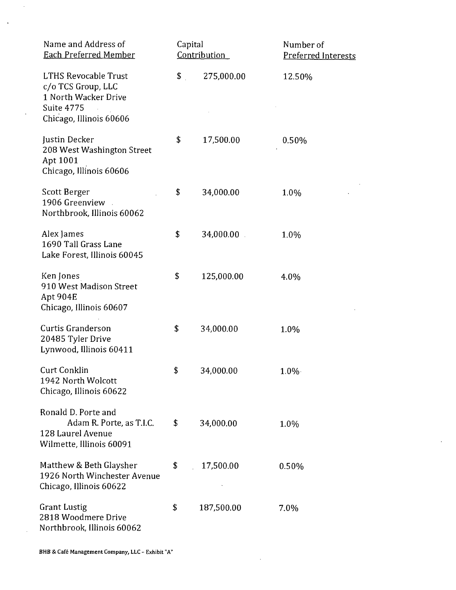| Name and Address of<br><b>Each Preferred Member</b>                                                                       | Capital<br>Contribution |            | Number of<br><b>Preferred Interests</b> |  |
|---------------------------------------------------------------------------------------------------------------------------|-------------------------|------------|-----------------------------------------|--|
| <b>LTHS Revocable Trust</b><br>c/o TCS Group, LLC<br>1 North Wacker Drive<br><b>Suite 4775</b><br>Chicago, Illinois 60606 | \$                      | 275,000.00 | 12.50%                                  |  |
| Justin Decker<br>208 West Washington Street<br>Apt 1001<br>Chicago, Illinois 60606                                        | \$                      | 17,500.00  | 0.50%                                   |  |
| Scott Berger<br>1906 Greenview<br>Northbrook, Illinois 60062                                                              | \$                      | 34,000.00  | 1.0%                                    |  |
| Alex James<br>1690 Tall Grass Lane<br>Lake Forest, Illinois 60045                                                         | \$                      | 34,000.00  | 1.0%                                    |  |
| Ken Jones<br>910 West Madison Street<br>Apt 904E<br>Chicago, Illinois 60607                                               | \$                      | 125,000.00 | 4.0%                                    |  |
| <b>Curtis Granderson</b><br>20485 Tyler Drive<br>Lynwood, Illinois 60411                                                  | \$                      | 34,000.00  | 1.0%                                    |  |
| <b>Curt Conklin</b><br>1942 North Wolcott<br>Chicago, Illinois 60622                                                      | \$                      | 34,000.00  | $1.0\%$                                 |  |
| Ronald D. Porte and<br>Adam R. Porte, as T.I.C.<br>128 Laurel Avenue<br>Wilmette, Illinois 60091                          | \$                      | 34,000.00  | 1.0%                                    |  |
| Matthew & Beth Glaysher<br>1926 North Winchester Avenue<br>Chicago, Illinois 60622                                        | \$                      | 17,500.00  | 0.50%                                   |  |
| <b>Grant Lustig</b><br>2818 Woodmere Drive<br>Northbrook, Illinois 60062                                                  | \$                      | 187,500.00 | 7.0%                                    |  |

 $\hat{\mathcal{A}}$ 

 $\ddot{\phantom{0}}$ 

 $\bar{\alpha}$ 

 $\sim$ 

 $\ddot{\phantom{a}}$ 

 $\mathcal{A}$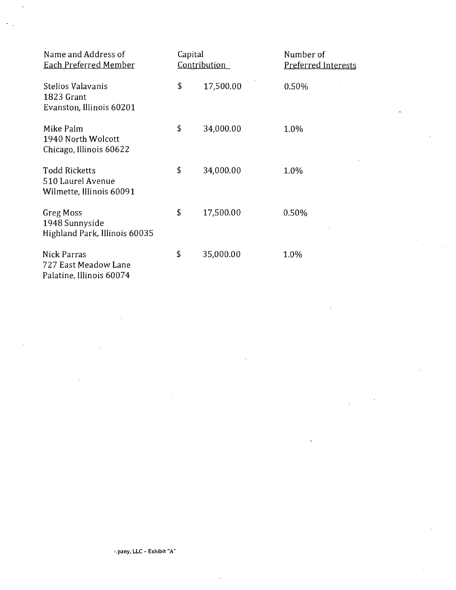| Name and Address of<br><b>Each Preferred Member</b>                   | Capital<br>Contribution |           | Number of<br><b>Preferred Interests</b> |
|-----------------------------------------------------------------------|-------------------------|-----------|-----------------------------------------|
| Stelios Valavanis<br>1823 Grant<br>Evanston, Illinois 60201           | \$                      | 17,500.00 | 0.50%                                   |
| Mike Palm<br>1940 North Wolcott<br>Chicago, Illinois 60622            | \$                      | 34,000.00 | 1.0%                                    |
| <b>Todd Ricketts</b><br>510 Laurel Avenue<br>Wilmette, Illinois 60091 | \$                      | 34,000.00 | 1.0%                                    |
| Greg Moss<br>1948 Sunnyside<br>Highland Park, Illinois 60035          | \$                      | 17,500.00 | 0.50%                                   |
| Nick Parras<br>727 East Meadow Lane<br>Palatine, Illinois 60074       | \$                      | 35,000.00 | 1.0%                                    |

l,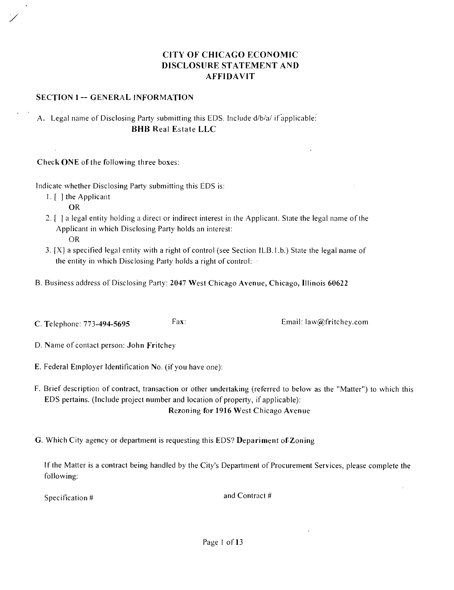## **CITY OF CHICAGO ECONOMIC DISCLOSURE STATEMENT AND AFFIDAVIT**

#### **SECTION 1 -- GENERAL INFORMATION**

## A. Legal name of Disclosing Party submitting this EDS. Include d/b/a/ if applicable: **BHB Real Estate LLC**

**Check ONE of the following three boxes:** 

Indicate whether Disclosing Party submitting this EDS is:

1. [ ] the Applicant

OR

- 2. f I a legal entity holding a direct or indirect interest in the Applicant. Stale the legal name ofthe Applicant in which Disclosing Party holds an interest: OR
- 3. [X] a specified legal entity with a right of control (see Section ILB. 1.b.) State the legal name of the entity in which Disclosing Party holds a right of control:
- B. Business address of Disclosing Party: 2047 West Chicago Avenue, Chicago, Illinois 60622
- **C. Telephone: 773-494-5695** Fax: Email: law@fritchey.com

- **D. Name of contact person: John Fritchey**
- E. Federal Einployer Identification No. (if you have one):
- F. Brief description of contract, transaction or other undertaking (referred lo below as the "Matter") to which this EDS pertains. (Include project number and location of property, if applicable): **Rezoning for 1916 West Chicago Avenue**
- **G. Which Cit}' agency or department is requesting this EDS? Depariment of Zoning**

If the Matter is a contract being handled by the City's Department of Procurement Services, please complete the following:

Specification #  $\qquad \qquad \text{and Contract}\;#$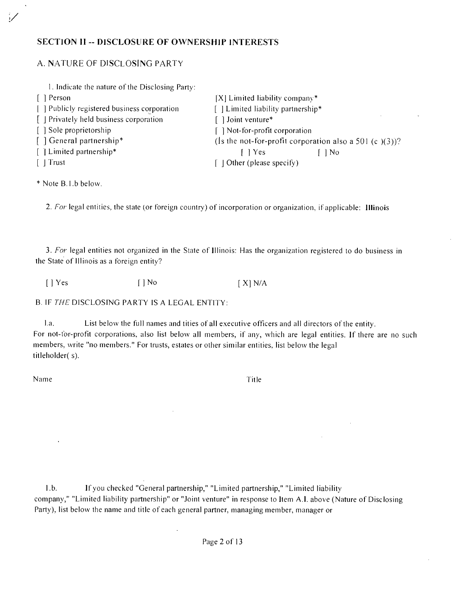## **SECTION 11 -- DISCLOSURE OF OWNERSHIP INTERESTS**

### A. N.ATURE OF DISCLOSING PARTY

| 1. Indicate the nature of the Disclosing Party:   |                                                           |
|---------------------------------------------------|-----------------------------------------------------------|
| [ Person]                                         | $[X]$ Limited liability company*                          |
| [ ] Publicly registered business corporation      | $\Box$ Limited liability partnership*                     |
| $\parallel$   Privately held business corporation | Joint venture*                                            |
| [ ] Sole proprietorship                           | Not-for-profit corporation                                |
| [ ] General partnership*                          | (Is the not-for-profit corporation also a 501 (c $(3)$ )? |
| [ ] Limited partnership*                          | I l Yes<br>$\log$                                         |
| $\lceil$   Trust                                  | $\Box$ Other (please specify)                             |

\* Note B.l.b below.

**2. For legal entities, the slate (or foreign country) of incorporation or organization, ifapplicable: Illinois** 

3. For legal entities not organized in the State of Illinois: Has the organization registered to do business in the State of Illinois as a foreign entity?

 $[ ]$  Yes  $[ ]$  No  $[ X ]$  N/A

B. IF THE DISCLOSING PARTY IS A LEGAL ENTITY:

La. List below the full names and tities of all executive officers and all directors of the entity. For not-for-profit corporations, also list below all members, if any, which are legal entities. If there are no such members, write "no members." For trusts, estates or other similar entities, list below the legal titleholder( s).

Name Title

 $\bar{\psi}$ 

l.b. If you checked "General partnership," "Limited partnership," "Limited liability company," "Limited liability partnership" or "Joint venture" in response to Item A.I. above (Nature of Disclosing Party), list below the name and title of each general partner, managing member, manager or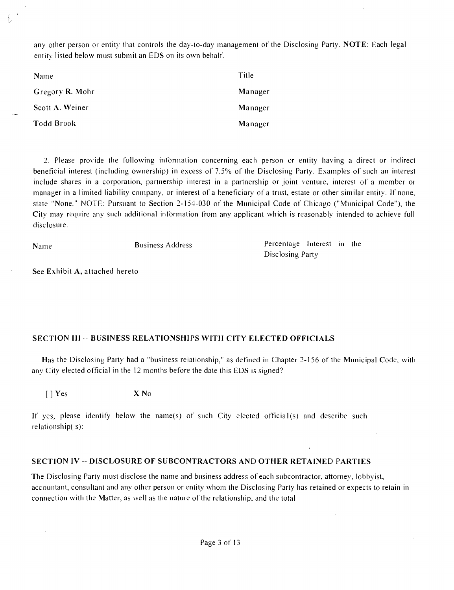any other person or entity that controls the day-to-day management of the Disclosing Party. NOTE: Each legal entity listed below must submit an EDS on its own behalf.

| Name            | Title   |
|-----------------|---------|
| Gregory R. Mohr | Manager |
| Scott A. Weiner | Manager |
| Todd Brook      | Manager |

2. Please provide the following inlormation concerning each person or entity having a direct or indirect beneficial interest (including ownership) in excess of 7.5% of the Disclosing Party. Examples of such an interest include shares in a corporation, partnership interest in a partnership or joint venture, interest of a member or manager in a limited liability company, or interest of a beneficiary of a trust, estate or other similar entity. If none, state "None." NOTE: Pursuant to Section 2-154-030 of the Municipal Code of Chicago ("Municipal Code"), the City may require any such additional information from any applicani which is reasonably intended to achieve full disclosure.

Name Business Address Percentage Interest in the Disclosing Party

**See Exhibit A, attached hereto** 

#### **SECTION III -- BUSINESS RELATIONSHIPS WITH CITY ELECTED OFFICIALS**

Has the Disclosing Party had a "business reiationship," as defined in Chapter 2-156 of the Municipal Code, with any City elected official in the 12 months before the date this EDS is signed?

[ ] Yes X No

If yes, please identify below the name(s) of such City elected official(s) and describe such relationship( s):

#### **SECTION IV - DISCLOSURE OF SUBCONTRACTORS AND OTHER RETAINED PARTIES**

The Disclosing Party must disclose the name and business address of each subcontractor, attorney, lobbyist, accountant, consultant and any other person or entity whom the Disclosing Party has retained or expects to retain in connection with the Matter, as well as the nature of the relationship, and the total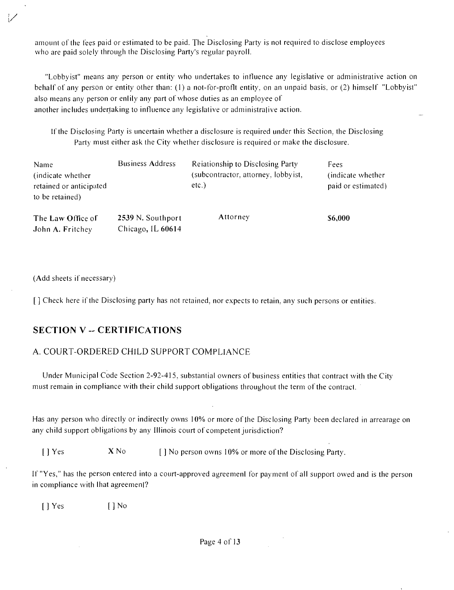amount of the fees paid or estimated to be paid. The Disclosing Party is not required to disclose employees who are paid solely through the Disclosing Party's regular payroll.

"Lobbyist" means any person or entity who undertakes to influence any legislative or administrative action on behalf of any person or entity other than: (1) a not-for-profit entity, on an unpaid basis, or (2) himself "Lobbyist" also means any person or enlily any part of whose duties as an employee of another includes undertaking lo infiuence any legislative or administralive action.

If the Disclosing Party is uncertain whether a disclosure is required under this Section, the Disclosing Party must either ask the City whether disclosure is required or make the disclosure.

| Name<br>(indicate whether)<br>retained or anticipated<br>to be retained) | <b>Business Address</b>                | Relationship to Disclosing Party<br>(subcontractor, attorney, lobbyist,<br>$etc.$ ) | Fees<br>(indicate whether)<br>paid or estimated) |
|--------------------------------------------------------------------------|----------------------------------------|-------------------------------------------------------------------------------------|--------------------------------------------------|
| The Law Office of<br>John A. Fritchey                                    | 2539 N. Southport<br>Chicago, IL 60614 | Attorney                                                                            | \$6,000                                          |

(Add sheets if necessary)

[ ] Check here if the Disclosing party has not retained, nor expects to retain, any such persons or entities.

## **SECTION V - CERTIFICATIONS**

## A. COURT-ORDERED CHILD SUPPORT COMPLIANCE

Under Municipal Code Section 2-92-415, substantial owners of business entities that contract with the City must remain in compliance with their child support obligations throughout the term of the contract.

Has any person who directly or indirectly owns 10% or more of Ihe Disclosing Party been declared in arrearage on any child support obligations by any Illinois court of competent jurisdiction?

[ ] Yes  $X \text{No}$  [ ] No person owns 10% or more of the Disclosing Party.

If "Yes," has the person entered into a court-approved agreemenl for payment of all support owed and is the person in compliance with lhat agreemenl?

[ J Yes [ ] No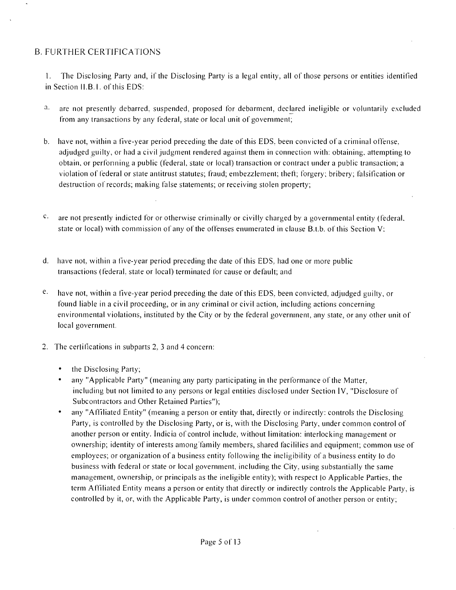## B. FURTHER CERTIFICATIONS

1. The Disclosing Party and, if the Disclosing Party is a legal entity, all of those persons or entities identified in Section II.B.1. of this EDS:

- <sup>3</sup>- are not presently debarred, suspended, proposed for debarment, declared ineligible or voluntarily excluded from any transactions by any federal, state or local unit of government;
- b. have not, within a five-year period preceding the date of this EDS, been convicted of a criminal offense, adjudged guilty, or had a civil judgment rendered against them in connection with: obtaining, attempting to obtain, or performing a public (federal, state or local) transaction or contract under a public transaction; a violation of federal or state antitrust statutes; fraud; embezzlemenl; theft; forgery; bribery; falsification or destruction of records; making false staiements; or receiving stolen property;
- $c<sub>z</sub>$  are not presently indicted for or otherwise criminally or civilly charged by a governmental entity (federal, state or local) with commission of any of the offenses enumerated in clause B.t.b. of this Section V;
- d. have not, within a five-year period preceding the date ofthis EDS, had one or more public transactions (federal, state or local) terminated for cause or default; and
- $e_i$  have not, within a five-year period preceding the date of this EDS, been convicted, adjudged guilty, or found liable in a civil proceeding, or in any criminal or civil action, including actions concerning environmental violations, instituted by ihe City or by the federal governinent, any state, or any other unil of local government.
- 2. The cerlifications in subparts 2. 3 and 4 concern:
	- the Disclosing Party;
	- any "Applicable Party" (meaning any party participating in the performance of the Matter, including but not limited to any persons or legal entities disclosed under Section IV, "Disclosure of Subcontractors and Other Retained Parties");
	- any "Affiliated Entity" (meaning a person or entity that, directly or indirectly: controls the Disclosing Party, is controlled by the Disclosing Party, or is, with the Disclosing Party, under common control of another person or entity. Indicia of control include, without limitation: interlocking management or ownership; identity of interests among family members, shared facililies and equipment; common use of employees; or organization of a business entity following the ineligibility of a business entity lo do business with federal or state or local government, including the City, using substantially the same management, ownership, or principals as the ineligible entity); with respect lo Applicable Parties, the term Affiliated Entity means a person or entity that directly or indirectly controls the Applicable Party, is controlled by it, or, with the Applicable Party, is under common control of another person or entity;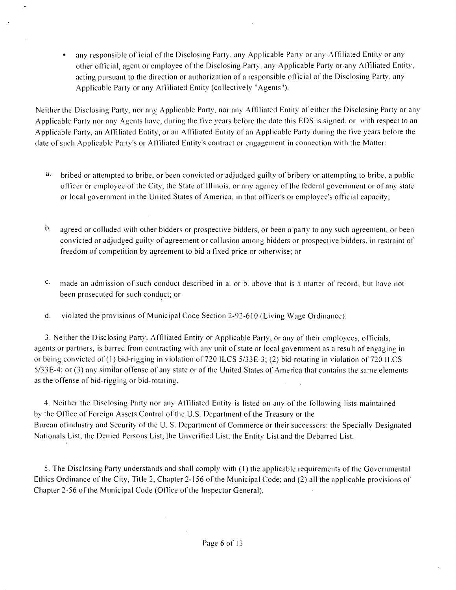• any responsible official of the Disclosing Party, any Applicable Party or any Affiliated Entity or any olher official, agenl or employee of ihe Disclosing Party, any Applicable Party orany Affiliated Entity, acting pursuant to the direction or authorization of a responsible official of the Disclosing Party, any Applicable Party or any Afilliated Entity (collectively "Agents").

Neither the Disclosing Party, nor any Applicable Party, nor any Affiliated Entity of either the Disclosing Party or any Applicable Party nor any Agents have, during the five years before the date this EDS is signed, or, with respect to an Applicable Party, an Affiliated Entity, or an Affiliated Entity of an Applicable Party during the five years before the date of such .Applicable Party's or .Affiliated Entity's contract or engagement in connection with the Matter:

- $\mathbf{a}$ . bribed or attempted lo bribe, or been convicted or adjudged guilty of bribery or attempting to bribe, a public officer or employee ofthe City, the State of Illinois, or any agency of Ihe federal government or of any slate or local government in the United States of America, in that officer's or employee's official capacity;
- $\mathbf{b}$ . agreed or colluded with other bidders or prospective bidders, or been a party to any such agreement, or been convicted or adjudged guilty of agreement or collusion among bidders or prospective bidders, in restraint of freedom of competition by agreement to bid a fixed price or otherwise; or
- $\mathbf{C}_{+}$ made an admission of such conduct described in a. or b. above that is a matter of record, but have not been prosecuted for such conduct; or
- d. violated the provisions of Municipal Code Section 2-92-610 (Living Wage Ordinance).

3. Neither the Disclosing Party, Affiliated Entity or Applicable Party, or any of their employees, officials, agents or partners, is barred from contracting with any unit of state or local govemment as a result of engaging in or being convicted of (1) bid-rigging in violation of 720 ILCS 5/33E-3; (2) bid-rotating in violation of 720 ILCS 5/33E-4; or (3) any similar offense of any state or of the United States of America that contains the same elements as the offense of bid-rigging or bid-rotating.

4. Neither the Disclosing Party nor any Affiliated Entity is listed on any of the following lists maintained by the Office of Foreign Assets Control of the U.S. Department of the Treasury or the Bureau of industry and Security of the U.S. Department of Commerce or their successors: the Specially Designated Nationals List, the Denied Persons List, Ihe Unverified List, the Entity Lisl and the Debarred List.

5. The Disclosing Party understands and shall comply with (1) the applicable requirements of the Governmental Ethics Ordinance ofthe City, Title 2, Chapter 2-156 of the Municipal Code; and (2) all the applicable provisions of Chapter 2-56 of the Municipal Code (Office of the Inspector General).

 $\mathcal{L}$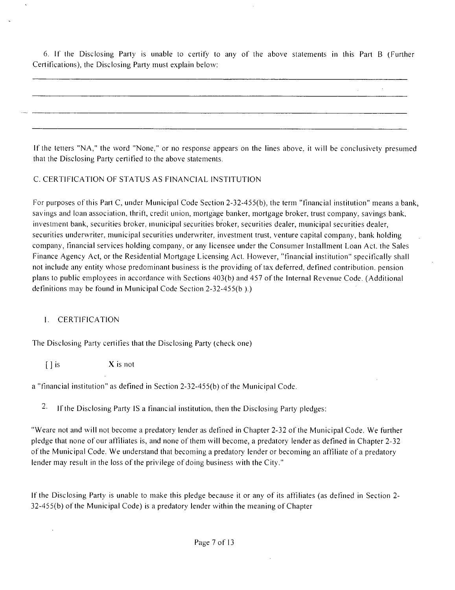6. If the Disclosing Party is unable to certify to any of the above statements in this Part B (Further Certifications), the Disclosing Party musl explain below:

If the letters "NA," the word "None," or no response appears on the lines above, it will be conclusively presumed that the Disclosing Party certified to the above statements.

#### C. CERTIFICATION OF STATUS AS FINANCIAL INSTITUTION

For purposes ofthis Part C, under Municipal Code Section 2-32-455(b), the term "financial institution" means a bank, savings and loan association, thrift, credit union, mortgage banker, mortgage broker, trust company, savings bank, investment bank, securities broker, inunicipal securities broker, securities dealer, municipal securities dealer, securities underwriter, municipal securities underwriter, investment trust, venture capital company, bank holding company, financial services holding company, or any licensee under the Consumer Installment Loan Acl. the Sales Finance Agency Act, or the Residential Mortgage Licensing Acl. However, "financial institution" specifically shall not include any entity whose predominant business is the providing oftax deferred, defined contribution, pension plans to public employees in accordance with Sections 403(b) and 457 ofthe Internal Revenue Code. (Additional definitions may be found in Municipal Code Section 2-32-455(b ).)

#### 1. CERTIFICATION

The Disclosing Party certifies that the Disclosing Party (check one)

 $[ ]$  is  $X$  is not

a "financial institution" as defined in Section 2-32-455(b) of the Municipal Code.

2. If the Disclosing Party IS a financial institution, then the Disclosing Party pledges:

"Weare not and will not become a predatory lender as defined in Chapter 2-32 of the Municipal Code. We further pledge that none of our affiliates is, and none of them will become, a predatory lender as defined in Chapter 2-32 ofthe Municipal Code. We understand thai becoming a predatory lender or becoming an affiliate of a predatory lender may result in the loss of the privilege of doing business with the City."

If the Disclosing Party is unable to make this pledge because il or any of ils affiliates (as defined in Section 2-  $32-455(b)$  of the Municipal Code) is a predatory lender within the meaning of Chapter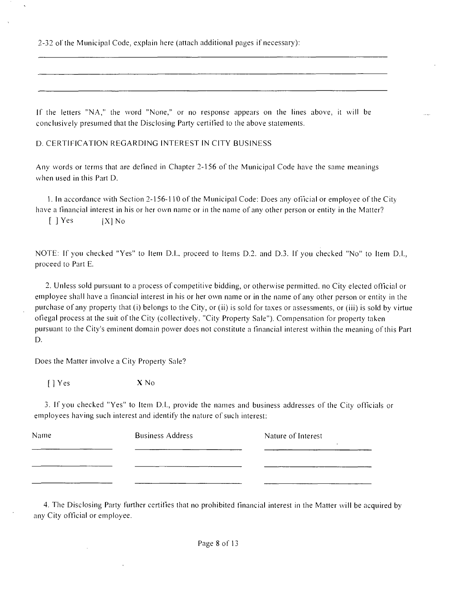^32 ol'the Municipal Code, explain here (attach additional pages if necessary):

If the letters "N.A," the word "None," or no response appears on the lines above, it will be conclusively presumed that the Disclosing Party certified lo the above statements.

D. CERTIFICATION REGARDING INTEREST IN CITY BUSINESS

Any words or terms that are defined in Chapter 2-156 of the Municipal Code have the same meanings when used in this Part D.

1. In accordance with Section 2-156-110 of the Municipal Code: Does any official or employee of the City have a financial interest in his or her own name or in the name of any other person or entity in the Matter?

[ J Yes |X1 No

NOTE: If you checked "Yes" to Item D.l.. proceed to Items D.2. and D.3. If you checked "No" to Item D.l., proceed to Part E.

2. Unless sold pursuant lo a process of competitive bidding, or otherwise permitted, no City elected official or employee shall have a financial interest in his or her own name or in the name of any other person or entity in the purchase of any property that (i) belongs to the City, or (ii) is sold for taxes or assessments, or (iii) is sold by virtue offegal process at the suit of the City (collectively. "City Property Sale"). Compensation for property taken pursuant to the City's eminent domain power does not constitute a financial interest within the meaning of this Part D.

Does the Matter involve a City Property Sale?

[ ] Yes X No

3. If you checked "Yes" to Item D.I., provide the names and business addresses of the City officials or employees having such interest and identify the nature of such interest:

| Name | <b>Business Address</b> | Nature of Interest |
|------|-------------------------|--------------------|
|      |                         |                    |
|      |                         |                    |

4. The Disclosing Party further certifies that no prohibited financial interest in the Matter will be acquired by any City official or employee.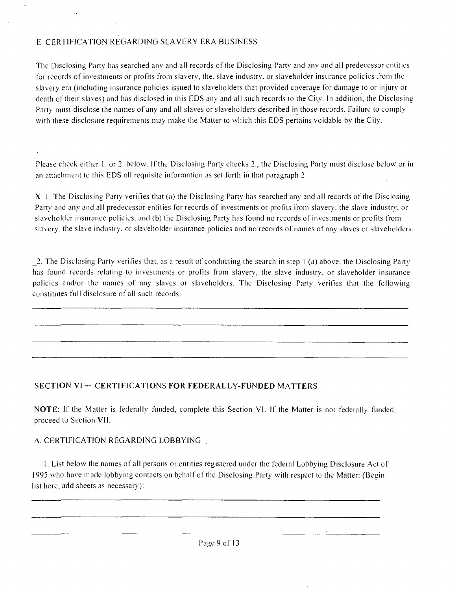## E. CERTIFICATION REGARDING SLAVERY ERA BUSINESS

The Disclosing Party has searched any and all records of the Disclosing Party and any and all predecessor entities for records of investments or profits from slavery, the. slave industry, or slaveholder insurance policies from the slavery era (including insurance policies issued to slaveholders that provided coverage for damage to or injury or death of their slaves) and has disclosed in this EDS any and all such records to the City. In addition, the Disclosing Party must disclose the names of any and all slaves or slaveholders described in those records. Failure lo comply with these disclosure requirements may make the Matter to which this EDS pertains voidable by the City.

Please check either 1. or 2. below. If the Disclosing Party checks 2., the Disclosing Party must disclose below or in an attachment to this EDS all requisite information as set forth in lhat paragraph 2.

 $X \perp$ . The Disclosing Party verifies that (a) the Disclosing Party has searched any and all records of the Disclosing Party and any and all predecessor entities for records of investments or profits irom slavery, the slave industry, or slaveholder insurance policies, and (b) the Disclosing Party has found no records of investments or profits from slavery, the slave industry, or slaveholder insurance policies and no records of names of any slaves or slaveholders.

2. The Disclosing Party verifies that, as a result of conducting the search in step 1 (a) above, the Disclosing Party has found records relating to investments or profits from slavery, the slave industry, or slaveholder insurance policies and/or the names of any slaves or slaveholders. The Disclosing Party verifies lhat the following constitutes full disclosure of all such records:

## **SECTION VI -- CERTIFICATIONS FOR FEDERALLY-FUNDED MATTERS**

NOTE: If the Matter is federally funded, complete this Section VI. If the Matter is not federally funded, proceed to Section VII.

#### A. CERTIFICATION REGARDING LOBBYING

1. List belosv the names ofall persons or entities registered under the federal Lobbying Disclosure Acl of 1995 who have made lobbying contacts on behalf of the Disclosing Party with respect to the Matter: (Begin list here, add sheets as necessary):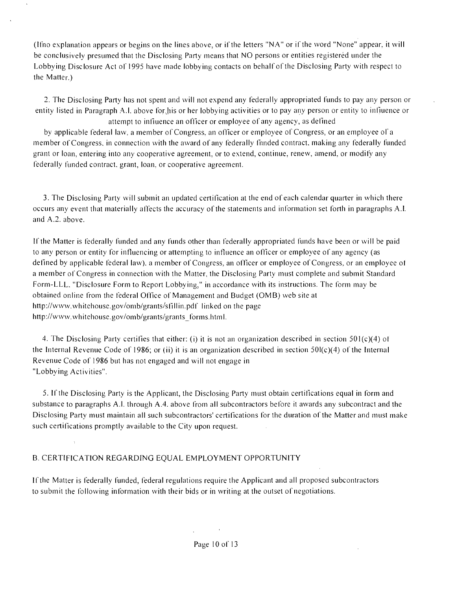(Ifno explanation appears or begins on the lines above, or if the letters "NA" or if the word "None" appear, it will be conclusively presumed thai the Disclosing Party means thai NO persons or entities registered under the Lobbying Disclosure Act of 1995 have made lobbying contacts on behalf of the Disclosing Party with respect to the Matter.)

2. The Disclosing Party has not spent and will not expend any federally appropriated funds to pay any person or entity listed in Paragraph A.I. above for his or her lobbying activities or to pay any person or entity to influence or attempt to infiuence an officer or employee of any agency, as defined

by applicable federal law, a member of Congress, an officer or employee of Congress, or an employee of a member of Congress, in connection with the award of any federally finded contract, making any federally funded grant or loan, entering into any cooperative agreement, or to extend, continue, renew, amend, or modify any federally funded contract, grant, loan, or cooperative agreemenl.

3. The Disclosing Party svill submit an updated certification at the end of each calendar quarter in which there occurs any event that materially affects the accuracy of the statements and information set forth in paragraphs A.I. and A.2. above.

If the Matter is federally funded and any funds other than federally appropriated funds have been or svill be paid to any person or entity for influencing or attempting to influence an officer or employee of any agency (as defined by applicable federal law), a member of Congress, an officer or employee of Congress, or an employee of a member of Congress in connection with the Matter, the Disclosing Party must complete and submit Standard Form-LLL. "Disclosure Form lo Report Lobbying," in accordance svith its instructions. The form may be obtained online from the federal Office of Management and Budget (OMB) web site at http://www.whitehouse.gov/omb/grants/sfillin.pdf linked on the page http://www.whitehouse.gov/omb/grants/grants\_forms.html.

4. The Disclosing Party certifies that either: (i) it is nol an organization described in section 501(c)(4) of the Internal Revenue Code of 1986; or (ii) it is an organization described in section  $50I(c)(4)$  of the Internal Revenue Code of 1986 but has not engaged and will not engage in "Lobbying Activities".

5. If the Disclosing Party is the Applicant, the Disclosing Party must obtain certifications equal in form and substance to paragraphs A.l. through A.4. above from all subcontractors before it awards any subcontract and the Disclosing Party must maintain all such subcontractors' certifications for the duration ofthe Matter and musl make such certifications promptly available to the City upon request.

#### B. CERTIFICATION REGARDING EQUAL EMPLOYMENT OPPORTUNITY

If the Matter is federally funded, federal regulations require the Applicant and all proposed subcontractors to submit the following information with their bids or in writing at the outset of negotiations.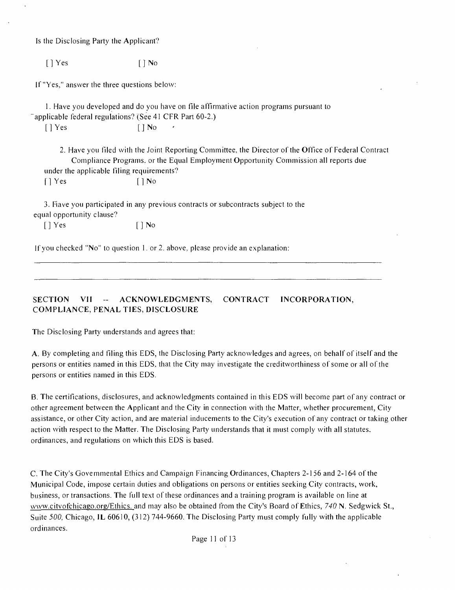Is the Disclosing Party the Applicani?

 $[ ]$  Yes  $[ ]$  No

If "Yes," answer the three questions below:

1. Have you developed and do you have on file affirmative action programs pursuant lo "applicable federal regulations? (See 41 CFR Part 60-2.)

 $[$  | Yes  $[$  | No

2. Have you filed with the Joint Reporting Committee, the Director of the Office of Federal Contract Compliance Programs, or the Equal Employment Opportunity Commission all reports due under the applicable filing requirements? f 1 Yes [ 1 No

3. Fiave you participated in any previous contracts or subcontracts subject to the equal opportunity clause?

[ ] Yes [ ] No

If you checked "No" to question 1. or 2. above, please provide an explanation:

**SECTION VII - ACKNOWLEDGMENTS, CONTRACT INCORPORATION, COMPLIANCE, PENAL TIES, DISCLOSURE** 

The Disclosing Party understands and agrees that:

A. By completing and filing this EDS, the Disclosing Party acknosvledges and agrees, on behalf of itself and the persons or entities named in this EDS, that the City may investigate the creditworthiness of some or all of the persons or entities named in this EDS.

B. The certifications, disclosures, and acknowledgments contained in this EDS will become part of any contract or other agreement between the Applicant and the City in connection svith the Matter, whether procurement. City assistance, or other City action, and are material inducements to the City's execution of any contract or taking other action with respect to the Matter. The Disclosing Party understands that it must comply with all statutes, ordinances, and regulations on which this EDS is based.

C. The City's Govemmental Ethics and Campaign Financing Ordinances, Chapters 2-156 and 2-164 ofthe Municipal Code, impose certain duties and obligations on persons or entities seeking City contracts, work, business, or transactions. The full text of these ordinances and a training program is available on line at www.citvofchicago.org/Ethics. and may also be obtained from the City's Board of Ethics, 740 N. Sedgwick St., Suite 500, Chicago, IL 60610, (312) 744-9660. The Disclosing Party musl comply fully with the applicable ordinances.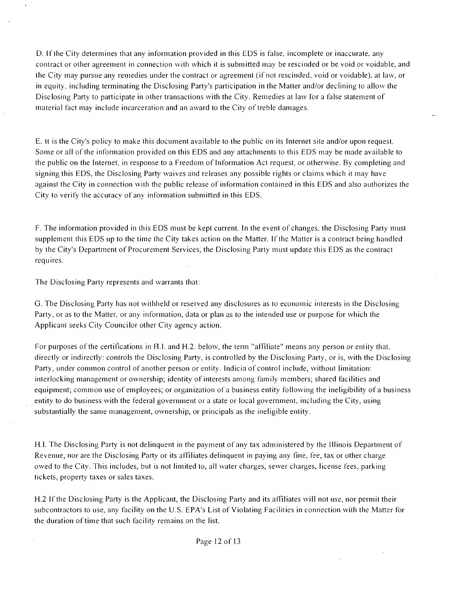D. If the City determines that any information provided in this EDS is false, incomplete or inaccurate, any contract or other agreement in connection with which it is submitted may be rescinded or be void or voidable, and the City may pursue any remedies under the contract or agreement (if not rescinded, void or voidable), at law, or in equity, including terminating the Disclosing Party's participation in the Matter and/or declining to allow the Disclosing Party to participate in other transactions with the City. Remedies at law for a false statement of material fact may include incarceration and an award to the City of treble damages.

E. ll is the City's policy to make this document available lo the public on its Internet site and/or upon request. Some or all of the information provided on this EDS and any attachments to this EDS may be made available to the public on the Internet, in response to a Freedom of Information Act request, or olhersvise. By completing and signing this EDS, the Disclosing Party waives and releases any possible rights or claims which it may have against the City in connection svilh the public release of information coniained in this EDS and also authorizes the City to verify the accuracy of any information submitted in this EDS.

F. The information provided in this EDS must be kept current. In the event of changes, the Disclosing Party must supplement this EDS up to the time the City takes action on the Matter. If the Matter is a contract being handled by the City's Department of Procurement Services, the Disclosing Party must update this EDS as the contract requires.

The Disclosing Party represents and warrants that:

G. The Disclosing Party has not withheld or reserved any disclosures as to economic interests in the Disclosing Party, or as to the Matter, or any information, data or plan as to the intended use or purpose for which the Applicant seeks City Councilor other City agency action.

For purposes of the certifications in FLI. and H.2. below, the term "affiliate" means any person or entity that, directly or indirectly: controls the Disclosing Party, is controlled by the Disclosing Party, or is, with the Disclosing Party, under common control of another person or entity. Indicia of control include, without limitation: interlocking management or ownership; identity of interests among family members; shared facilities and equipment; common use of employees; or organization of a business entity following the ineligibility of a business entity to do business svith the federal government or a state or local government, including the City, using substantially the same management, ownership, or principals as the ineligible entity.

H.I. The Disclosing Party is not delinquent in the payment of any tax administered by the Illinois Department of Revenue, nor are the Disclosing Party or its affiliates delinquent in paying any fine, fee, tax or other charge owed to the City. This includes, but is not limited to, all water charges, sewer charges, license fees, parking tickets, property taxes or sales taxes.

H.2 If the Disclosing Party is the Applicant, the Disclosing Party and its affiliates svill not use, nor permil their subcontractors to use, any facility on the U.S. EPA's List of Violating Facilities in connection with the Matter for the duration of time that such facility remains, on the list.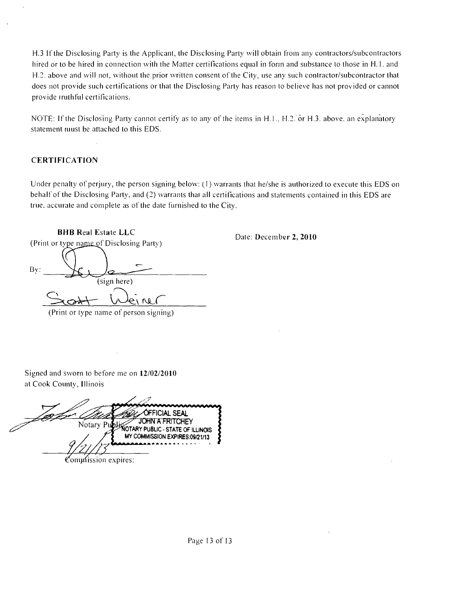H.3 If the Disclosing Party is the Applicant, the Disclosing Party svill obtain ftom any contractors/subcontractors hired or to be hired in connection with the Matter certifications equal in form and substance to those in H.1. and H.2. above and will not, without the prior written consent of the City, use any such contractor/subcontractor that does not provide such certifications or that the Disclosing Party has reason lo believe has nol provided or cannot provide irulhful certifications.

NOTE: If the Disclosing Party cannot certify as to any of the items in H.1., H.2. or H.3. above, an explanatory statement must be attached to this EDS.

#### **CERTIFICATION**

Under penalty of perjury, the person signing below: (1) warrants that he/she is authorized to execute this EDS on behalf of the Disclosing Party, and (2) warrants thai all certifications and statements contained in this EDS are true, accurate and complete as of the date furnished to the City.

**BHB Real Estate LLC**  (Print or type name of Disclosing Party) Bv: (sign here)  $\mathbf{M}$ (Print or type name of person signing)

**Date: December 2, 2010** 

Signed and sworn to before me on 12/02/2010 at Cook County, Illinois

OFFICIAL SEAL Notary Public STATE **JOHN A FRITCHEY** OF ILLINOIS MY COMMISSION EXPIRES:09/21/13

 $\mathfrak{C}$ ommission expires: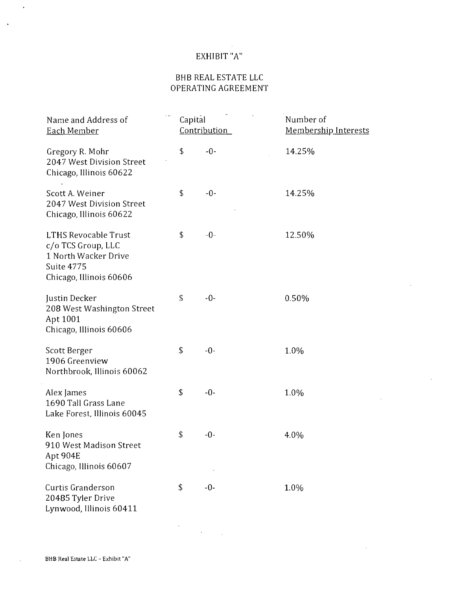## EXHIBIT "A"

## BHB REAL ESTATE LLC OPERATING AGREEMEN'l

| Name and Address of<br>Each Member                                                                                 | Capital | Contribution | Number of<br>Membership Interests |
|--------------------------------------------------------------------------------------------------------------------|---------|--------------|-----------------------------------|
| Gregory R. Mohr<br>2047 West Division Street<br>Chicago, Illinois 60622                                            | \$      | $-0-$        | 14.25%                            |
| Scott A. Weiner<br>2047 West Division Street<br>Chicago, Illinois 60622                                            | \$      | $-0-$        | 14.25%                            |
| <b>LTHS Revocable Trust</b><br>c/o TCS Group, LLC<br>1 North Wacker Drive<br>Suite 4775<br>Chicago, Illinois 60606 | \$      | $-0-$        | 12.50%                            |
| Justin Decker<br>208 West Washington Street<br>Apt 1001<br>Chicago, Illinois 60606                                 | \$      | $-0-$        | 0.50%                             |
| Scott Berger<br>1906 Greenview<br>Northbrook, Illinois 60062                                                       | \$      | $-0-$        | 1.0%                              |
| Alex James<br>1690 Tall Grass Lane<br>Lake Forest, Illinois 60045                                                  | \$      | $-0-$        | 1.0%                              |
| Ken Jones<br>910 West Madison Street<br>Apt 904E<br>Chicago, Illinois 60607                                        | \$      | $-0-$        | 4.0%                              |
| Curtis Granderson<br>20485 Tyler Drive<br>Lynwood, Illinois 60411                                                  | \$      | $-0-$        | 1.0%                              |

 $\label{eq:2} \frac{1}{\sqrt{2}}\sum_{i=1}^n\frac{1}{\sqrt{2}}\sum_{i=1}^n\frac{1}{\sqrt{2}}\sum_{i=1}^n\frac{1}{\sqrt{2}}\sum_{i=1}^n\frac{1}{\sqrt{2}}\sum_{i=1}^n\frac{1}{\sqrt{2}}\sum_{i=1}^n\frac{1}{\sqrt{2}}\sum_{i=1}^n\frac{1}{\sqrt{2}}\sum_{i=1}^n\frac{1}{\sqrt{2}}\sum_{i=1}^n\frac{1}{\sqrt{2}}\sum_{i=1}^n\frac{1}{\sqrt{2}}\sum_{i=1}^n\frac{1$ 

 $\bar{\mathbf{v}}$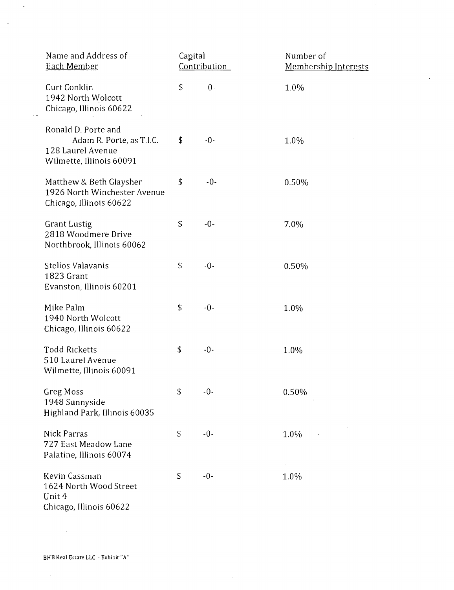| Name and Address of<br><b>Each Member</b>                                                        | Capital | Contribution | Number of<br><b>Membership Interests</b> |
|--------------------------------------------------------------------------------------------------|---------|--------------|------------------------------------------|
| Curt Conklin<br>1942 North Wolcott<br>Chicago, Illinois 60622                                    | \$      | $-0-$        | 1.0%                                     |
| Ronald D. Porte and<br>Adam R. Porte, as T.I.C.<br>128 Laurel Avenue<br>Wilmette, Illinois 60091 | \$      | $-0-$        | 1.0%                                     |
| Matthew & Beth Glaysher<br>1926 North Winchester Avenue<br>Chicago, Illinois 60622               | \$      | $-0-$        | 0.50%                                    |
| <b>Grant Lustig</b><br>2818 Woodmere Drive<br>Northbrook, Illinois 60062                         | \$      | $-0-$        | 7.0%                                     |
| Stelios Valavanis<br>1823 Grant<br>Evanston, Illinois 60201                                      | \$      | $-0-$        | 0.50%                                    |
| Mike Palm<br>1940 North Wolcott<br>Chicago, Illinois 60622                                       | \$      | $-0-$        | 1.0%                                     |
| <b>Todd Ricketts</b><br>510 Laurel Avenue<br>Wilmette, Illinois 60091                            | \$      | $-0-$        | 1.0%                                     |
| <b>Greg Moss</b><br>1948 Sunnyside<br>Highland Park, Illinois 60035                              | \$      | $-0-$        | 0.50%                                    |
| <b>Nick Parras</b><br>727 East Meadow Lane<br>Palatine, Illinois 60074                           | \$      | $-0-$        | 1.0%                                     |
| Kevin Cassman<br>1624 North Wood Street<br>Unit 4<br>Chicago, Illinois 60622                     | \$      | $-0-$        | 1.0%                                     |

 $\sim 10^{-1}$ 

 $\hat{\mathcal{A}}$ 

 $\hat{\boldsymbol{\beta}}$ 

 $\sim$ 

 $\mathcal{A}^{\mathcal{A}}$ 

 $\mathcal{L}^{\text{max}}_{\text{max}}$  , where  $\mathcal{L}^{\text{max}}_{\text{max}}$ 

 $\sim 10^7$ 

 $\sim 1$ 

 $\sim$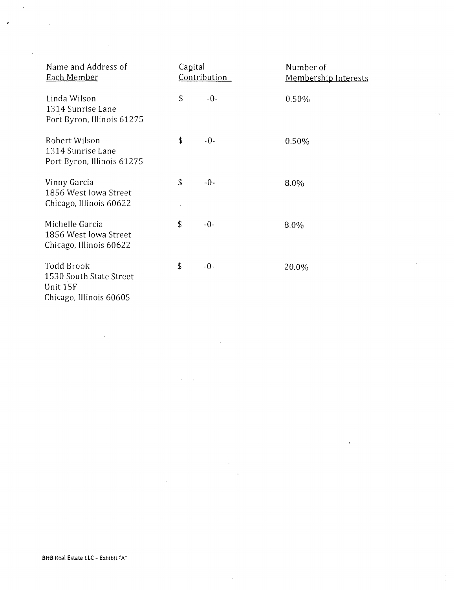| Name and Address of<br><u>Each Member</u>                                           | Capital<br><b>Contribution</b> |       | Number of<br><b>Membership Interests</b> |
|-------------------------------------------------------------------------------------|--------------------------------|-------|------------------------------------------|
| Linda Wilson<br>1314 Sunrise Lane<br>Port Byron, Illinois 61275                     | \$                             | $-0-$ | 0.50%                                    |
| Robert Wilson<br>1314 Sunrise Lane<br>Port Byron, Illinois 61275                    | \$                             | $-0-$ | 0.50%                                    |
| Vinny Garcia<br>1856 West Iowa Street<br>Chicago, Illinois 60622                    | \$                             | $-0-$ | 8.0%                                     |
| Michelle Garcia<br>1856 West Iowa Street<br>Chicago, Illinois 60622                 | \$                             | $-0-$ | 8.0%                                     |
| <b>Todd Brook</b><br>1530 South State Street<br>Unit 15F<br>Chicago, Illinois 60605 | \$                             | $-0-$ | 20.0%                                    |

à,

 $\bar{z}$ 

l.

Ì,

 $\sim$ 

 $\ddot{\phantom{a}}$ 

 $\bar{z}$ 

 $\overline{\phantom{a}}$ 

 $\ddot{\phantom{a}}$ 

 $\hat{\boldsymbol{\epsilon}}$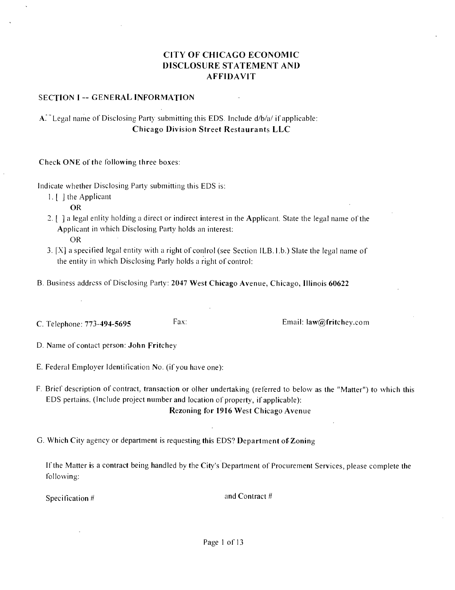## **CITY OF CHICAGO ECONOMIC DISCLOSURE STATEMENT AND AFFIDAVIT**

#### **SECTION I -- GENERAL INFORMATION**

## A. Legal name of Disclosing Party submitting this EDS. Include d/b/a/ if applicable: **Chicago Division Street Restaurants LLC**

Check ONE of the following three boxes:

Indicate whether Disclosing Party submitting this EDS is:

1. [ J the Applicant

OR

- 2.  $\lceil \cdot \rceil$  a legal enlity holding a direct or indirect interest in the Applicant. State the legal name of the Applicant in which Disclosing Party holds an interest: OR
- 3.  $[X]$  a specified legal entity with a right of conlrol (see Section ILB. 1.b.) Slate the legal name of the entity in which Disclosing Parly holds a right of control:
- B. Business address of Disclosing Party: 2047 West Chicago Avenue, Chicago, Illinois 60622
- C. Telephone: 773-494-5695 **Email: law@fritchey.com Email: law@fritchey.com**

**D. Name of contacl person: John Fritchey** 

- E. Federal Employer Identification No. (if you have one):
- F. Brief description of contract, transaction or olher undertaking (referred to below as the "Matter") to which this EDS pertains. (Include project number and location of property, if applicable):

**Rezoning for 1916 West Chicago Avenue** 

**G. Which City agency or department is requesting this EDS? Depariment of Zoning** 

If the Matter is a contract being handled by the City's Department of Procurement Services, please complete the following:

Specification # and Contract #

Page 1 of 13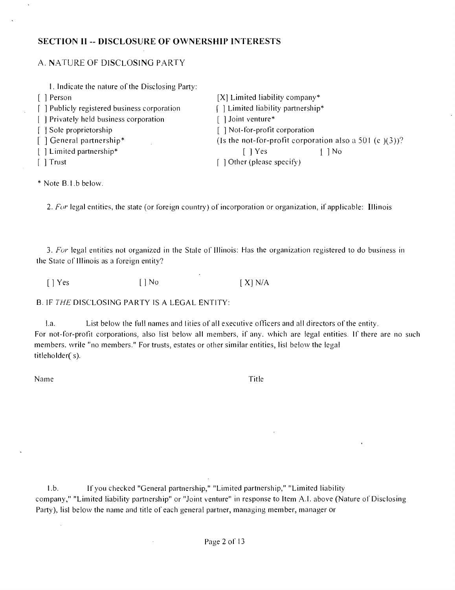#### **SECTION II - DISCLOSURE OF OWNERSHIP INTERESTS**

#### A. N.ATURE OF DISCLOSING PARTY

| 1. Indicate the nature of the Disclosing Party: |                                                           |        |
|-------------------------------------------------|-----------------------------------------------------------|--------|
| [ ] Person                                      | $[X]$ Limited liability company*                          |        |
| [ ] Publicly registered business corporation    | [1] Limited liability partnership*                        |        |
| [ ] Privately held business corporation         | Joint venture*                                            |        |
| [ ] Sole proprietorship                         | [] Not-for-profit corporation                             |        |
| [ ] General partnership*                        | (Is the not-for-profit corporation also a 501 (c $(3)$ )? |        |
| [ ] Limited partnership*                        | $\lceil$   Yes                                            | $\log$ |
| $\lceil \cdot \rceil$ Trust                     | [ ] Other (please specify)                                |        |

\* Note B. 1 .b belosv.

2. For legal entities, the state (or foreign country) of incorporation or organization, if applicable: Illinois

3. For legal entities not organized in the Stale of Illinois: Has the organization registered to do business in the State of Illinois as a foreign entity?

 $[$  | Yes  $[$  | No  $[$  X| N/A

 $\mathcal{A}$ 

B. IF THE DISCLOSING PARTY IS A LEGAL ENTITY:

l.a. List below the full names and lities of all executive officers and all directors of the entity. For not-for-profit corporations, also list below all members, if any, which are legal entities. If there are no such members, wrile "no members." For trusts, estates or other similar entities, lisl below the legal titleholder( s).

Name Title

l.b. If you checked "General partnership," "Limited partnership," "Limited liability company," "Limited liability partnership" or "Joint venture" in response to Item A.I. above (Nature of Disclosing Party), lisl below the name and title of each general partner, managing member, manager or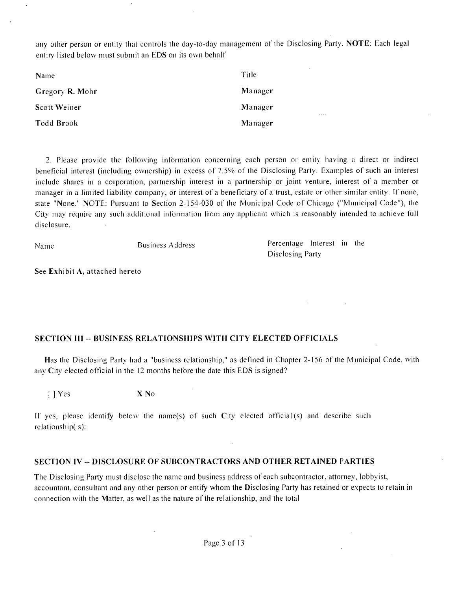any other person or entity that controls the day-to-day management of the Disclosing Party. NOTE: Each legal entiry listed below must submit an EDS on its own behalf

| Name            | Title                  |
|-----------------|------------------------|
| Gregory R. Mohr | Manager                |
| Scott Weiner    | Manager<br>$\sim 1000$ |
| Todd Brook      | Manager                |

2. Please provide the following information concerning each person or entity having a direct or indirect beneficial interest (including ownership) in excess of 7.5% of the Disclosing Party. Examples of such an interest include shares in a corporation, partnership interest in a partnership or joint venture, interest of a member or manager in a limited liability company, or interest of a beneficiary of a trust, estate or other similar entity. If none, state "None." NOTE: Pursuant to Section 2-154-030 of the Municipal Code of Chicago ("Municipal Code"), the City may require any such additional information from any applicant which is reasonably intended to achieve full disclosure.

Name Business Address Percentage Interest in the Disclosing Party

**See Exhibit A, attached hereto** 

#### **SECTION III - BUSINESS RELATIONSHIPS WITH CITV ELECTED OFFICIALS**

Has the Disclosing Party had a "business relationship," as defined in Chapter 2-156 of the Municipal Code, with any City elected official in the 12 months before the date this EDS is signed?

[]Yes X No

II' yes, please identify below the name(s) of such City elected official(s) and describe such relationship(s):

#### **SECTION IV ~ DISCLOSURE OF SUBCONTRACTORS AND OTHER RETAINED PARTIES**

The Disclosing Parfy must disclose the name and business address of each subcontractor, attomey, lobbyist, accountant, consultant and any other person or entify whom the Disclosing Parfy has retained or expects lo retain in connection svith the Matter, as well as the nature of the relationship, and the total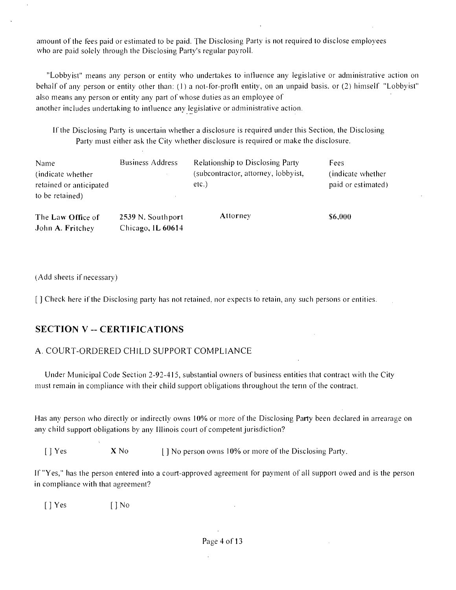amount of the fees paid or estimated to be paid. The Disclosing Party is not required to disclose employees who are paid solely through the Disclosing Party's regular payroll.

"Lobbyist" means any person or entity who undertakes to influence any legislative or administrative action on behalf of any person or entity other than: (1) a not-for-profit entity, on an unpaid basis, or (2) himself "Lobbyist" also means any person or entity any part of whose duties as an employee of another includes undertaking to inlluence any legislative or adminislrative action.

If the Disclosing Party is uncertain whether a disclosure is required under this Section, the Disclosing Party must either ask the City whether disclosure is required or make the disclosure.

| Name<br>(indicate whether)<br>retained or anticipated<br>to be retained) | <b>Business Address</b> | <b>Relationship to Disclosing Party</b><br>(subcontractor, attorney, lobbyist,<br>$etc.$ ) | <b>Fees</b><br>(indicate whether)<br>paid or estimated) |
|--------------------------------------------------------------------------|-------------------------|--------------------------------------------------------------------------------------------|---------------------------------------------------------|
| The Law Office of                                                        | 2539 N. Southport       | Attorney                                                                                   | \$6,000                                                 |

(Add sheets if necessary)

[ ] Check here if the Disclosing party has not retained, nor expects to retain, any such persons or entities.

## **SECTION V -- CERTIFICATIONS**

**John A. Fritchey Chicago, IL 60614** 

#### A. COURT-ORDERED CHILD SUPPORT COMPLIANCE

Under Municipal Code Section 2-92-415, substantial owners of business entities that contract with the City must remain in compliance with their child support obligations throughout the term of the contract.

Has any person who directly or indirectly owns 10% or more of the Disclosing Party been declared in arrearage on any child support obligations by any Illinois court of competent jurisdiction?

[ ] Yes X No I] No person owns 10% or more of the Disclosing Party.

If "Yes," has the person entered into a court-approved agreement for payment of all support owed and is the person in compliance with that agreement?

[ ] Yes [ ] No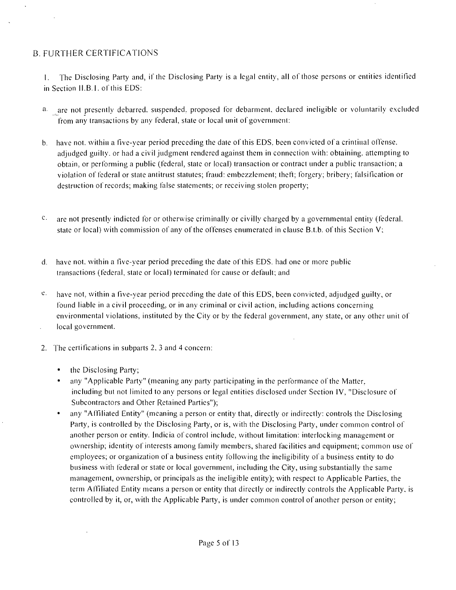## B. FURTHER CERTIFICATIONS

1. The Disclosing Parfy and, if the Disclosing Party is a legal entity, all of those persons or entities identified in Section II.B.1. of this EDS:

- a. are not presently debarred, suspended, proposed for debarment, declared ineligible or voluntarily excluded from any transactions by any federal, state or local unit of government:
- b. have not, within a five-year period preceding the date of this EDS, been convicted of a crintinal offense, adjudged guilty, or had a civil judgment rendered against them in connection with: obtaining, attempting to obtain, or performing a public (federal, slate or local) transaction or contract under a public transaction; a violation of federal or state antitrust statutes; fraud: embezzlement; theft; forgery; bribery; falsification or destruction of records; making false statements; or receiving stolen property;
- $c$  are not presently indicted for or otherwise criminally or civilly charged by a governmental entity (federal, state or local) with commission of any of the offenses enumerated in clause B.t.b. of this Section V;
- d. have not, within a five-year period preceding the date of this EDS, had one or more public transactions (federal, state or local) terminated for cause or default; and
- $e<sub>z</sub>$  have not, within a five-year period preceding the date of this EDS, been convicted, adjudged guilty, or found liable in a civil proceeding, or in any criminal or civil action, including actions concerning environmental violations, instituted by the City or by the federal government, any state, or any other unit of local government.
- 2. The certifications in subparts 2, 3 and 4 concern:
	- the Disclosing Party;
	- any "Applicable Party" (meaning any party participating in the performance of the Matter, including but not limited to any persons or legal entities disclosed under Section IV, "Disclosure of Subcontractors and Other Retained Parties");
	- any "Affiliated Entity" (meaning a person or entity that, directly or indirectly: controls the Disclosing Party, is controlled by the Disclosing Party, or is, with the Disclosing Party, under common control of another person or entity. Indicia of control include, without limitation: interlocking management or osvnership; identify of interests among family members, shared facilities and equipment; common use of employees; or organization of a business entity following the ineligibility of a business entity to do business with federal or state or local government, including the City, using substantially the same management, ownership, or principals as the ineligible entity); with respect to Applicable Parties, the term Affiliated Entify means a person or entify that directly or indirectly controls the Applicable Party, is controlled by it, or, with the Applicable Party, is under common control of another person or entity;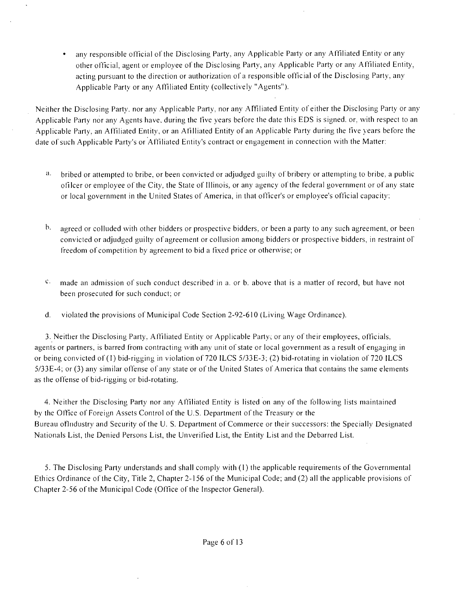any responsible official of the Disclosing Party, any Applicable Party or any Affiliated Entity or any other official, agent or employee of the Disclosing Party, any Applicable Party or any Affiliated Entity, acting pursuant to the direction or authorization of a responsible official of the Disclosing Party, any Applicable Party or any Affiliated Entity (collectively "Agents").

Neither the Disclosing Party, nor any Applicable Party, nor any Affiliated Entity of either the Disclosing Party or any Applicable Party nor any Agents have, during the five years before the date this EDS is signed, or, with respect to an Applicable Party, an Affiliated Entity, or an Afilliated Entity of an Applicable Party during the five years before the date of such Applicable Party's or Affiliated Entity's contract or engagement in connection with the Matter:

- a. bribed or attempted lo bribe, or been convicted or adjudged guilty of bribery or attempting lo bribe, a public ofilcer or employee ofthe City, the State of Illinois, or any agency ofthe federal government or of any state or local government in the United States of America, in that officer's or employee's official capacity:
- $\mathbf{b}$ . agreed or colluded with other bidders or prospective bidders, or been a party to any such agreement, or been convicted or adjudged guilty of agreement or collusion among bidders or prospective bidders, in restraint ol" freedom of competition by agreement to bid a fixed price or otherwise; or
- $\degree$  made an admission of such conduct described in a. or b. above that is a matter of record, but have not been prosecuted for such conduct; or
- d. violated the provisions of Municipal Code Section 2-92-610 (Living Wage Ordinance).

3. Neither the Disclosing Party, Affiliated Entity or Applicable Party; or any of their employees, officials, agents or partners, is barred from contracting with any unit of state or local government as a result of engaging in or being convicted of (I) bid-rigging in violation of 720 ILCS 5/33E-3; (2) bid-rotating in violation of 720 ILCS 5/33E-4; or (3) any similar offense of any state or of the United States of America that contains the same elements as the offense of bid-rigging or bid-rotating.

4. Neither the Disclosing Party nor any Affiliated Entity is listed on any of the following lists maintained by the Office of Foreign Assets Control of the U.S. Department of the Treasury or the Bureau of Industry and Security of the U. S. Department of Commerce or their successors: the Specially Designated Nationals List, the Denied Persons List, the Unverified List, the Entity List and the Debarred List.

5. The Disclosing Party understands and shall comply with (1) the applicable requirements of the Governmental Ethics Ordinance of the Cify, Title 2, Chapter 2-156 ofthe Municipal Code; and (2) all the applicable provisions of Chapter 2-56 of the Municipal Code (Office of the Inspector General).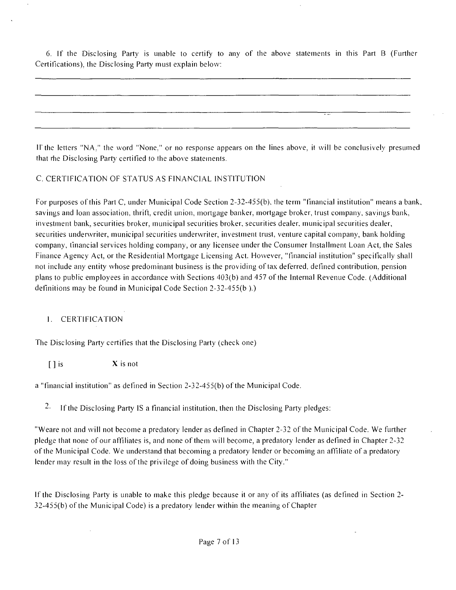6. If the Disclosing Party is unable lo certify' to any of the above staiements in this Part B (Further Certifications), the Disclosing Party must explain below:

11" the letters "NA," the svord "None," or no response appears on the lines above, it svill be conclusively presumed that rhe Disclosing Party certified to the above statements.

#### C. CERTIFICATION OF STATUS AS FINANCIAL INSTITUTION

For purposes ofthis Pari C, under Municipal Code Section 2-32-455(b), the term "financial institution" means a bank, savings and loan association, thrift, credit union, mortgage banker, mortgage broker, trust company, savings bank, investment bank, securities broker, municipal securities broker, securities dealer, municipal securities dealer, securities underwriter, municipal securities underwriter, investment trust, venture capital company, bank holding company, llnancial services holding company, or any licensee under the Consumer Installment Loan Act, the Sales Finance Agency Act, or the Residential Mortgage Licensing Act. However, "financial institution" specifically shall not include any entity whose predominant business is the providing of tax deferred, defined contribution, pension plans to public employees in accordance with Sections 403(b) and 457 of the Internal Revenue Code. (Additional definitions may be found in Municipal Code Section 2-32-455(b ).)

## 1. CERTIFICATION

The Disclosing Party certifies that the Disclosing Party (check one)

 $\begin{bmatrix} \n\end{bmatrix}$  is  $\begin{array}{c} \nX \n\end{array}$  is not

a "financial institution" as defined in Section 2-32-455(b) of the Municipal Code.

<sup>2.</sup> If the Disclosing Party IS a financial institution, then the Disclosing Party pledges:

"Weare not and will not become a predatory lender as defined in Chapter 2-32 of the Municipal Code. We further pledge that none of our affiliates is, and none of them svill become, a predatory lender as defined in Chapter 2-32 ofthe Municipal Code We understand that becoming a predatory lender or becoming an affiliate of a predatory lender may result in the loss of the privilege of doing business with the City."

If the Disclosing Parfy is unable to make this pledge because it or any of its affiliates (as defined in Section 2- 32-455(b) of the Municipal Code) is a predatory lender within the meaning of Chapter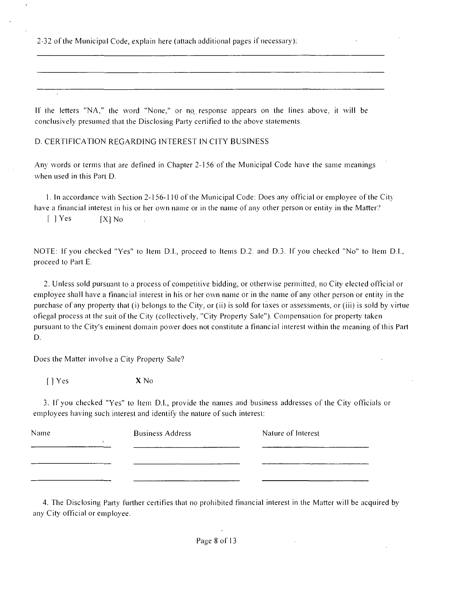2-32 ofthe Municipal Code, explain here (attach additional pages if necessary):

II' the letters "NA," the word "None," or no response appears on the lines above, it will be conclusively presumed that the Disclosing Party certified to the above statements.

D. CERTIFICATION REGARDING INTEREST IN CITY BUSINESS

 $\mathbb{R}^2$ 

Any svords or terms that are defined in Chapter 2-156 of the Municipal Code have the same meanings when used in this Part D.

1. In accordance svith Section 2-156-1 10 ofthe Municipal Code: Does any official or employee ofthe Citv have a financial interest in his or her own name or in the name of any other person or entity in the Matter?

 $[$   $]$  Yes  $[$   $[$   $X]$  No

NOTE: If you checked "Yes" to Item D.I., proceed to Items D.2. and D.3. If you checked "No" lo Item D.l., proceed lo Part E.

2. Unless sold pursuant to a process of competitive bidding, or otherwise permitted, no City elected official or employee shall have a financial interest in his or her own name or in the name of any other person or entity in the purchase of any property that (i) belongs to the City, or (ii) is sold for taxes or assessments, or (iii) is sold by virtue ofiegal process at the suit of the City (collectively, "City Property Sale"). Compensation for property taken pursuant to the City's eminent domain power does not constitute a financial interest within the meaning of this Part D.

Does the Matter involve a City Property Sale?

[JYes XNo

3. If you checked "Yes" to Item D.I., provide the names and business addresses of the City officials or employees having such interest and identify the nature of such interest:

| Name | <b>Business Address</b> | Nature of Interest |
|------|-------------------------|--------------------|
|      |                         |                    |
|      |                         |                    |
|      |                         |                    |

4. The Disclosing Party further certifies that no prohibited financial interest in the Matter will be acquired by any Cify official or employee.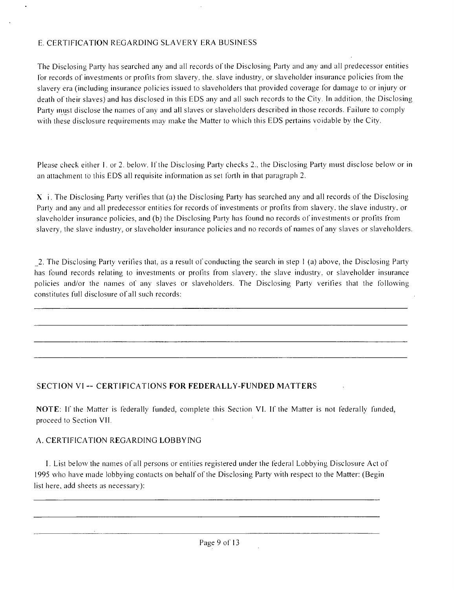### E. CERTIFICATION REGARDING SLAVERY ERA BUSINESS

The Disclosing Party has searched any and all records of the Disclosing Party and any and all predecessor entities Ibr records of investments or profits from slavery, the. slave industry, or slaveholder insurance policies from the slavery era (including insurance policies issued to slaveholders that provided coverage for damage lo or injury or death of their slaves) and has disclosed in this EDS any and all such records to the City. In addition, the Disclosing Party inust disclose the names of any and all slaves or slaveholders described in those records. Failure to comply with these disclosure requirements may make the Matter to which this EDS pertains voidable by the City.

Please check either 1. or 2. below. If the Disclosing Party checks 2., the Disclosing Party must disclose below or in an attachment to this EDS all requisite information as set forth in lhat paragraph 2.

 $X$  i. The Disclosing Party verifies that (a) the Disclosing Party has searched any and all records of the Disclosing Party and any and all predecessor entities for records of investments or profits from slavery, the slave industry, or slaveholder insurance policies, and (b) the Disclosing Party has found no records of investments or profits from slavery, the slave industiy, or slaveholder insurance policies and no records of names of any slaves or slaveholders.

2. The Disclosing Party verifies that, as a result of conducting the search in step 1 (a) above, the Disclosing Party has found records relating lo investments or profits from slavery, the slave industry, or slaveholder insurance policies and/or the names of any slaves or slaveholders. The Disclosing Party verifies that the following constitutes full disclosure ofall such records:

#### **SECTION VI - CERTIFICATIONS FOR FEDERALLY-FUNDED MATTERS**

NOTE: If the Matter is federally funded, complete this Section VI. If the Matter is nol federally funded, proceed to Section VII.

#### A. CERTIFICATION REGARDING LOBBYING

I. List belosv the names of all persons or entities registered under the federal Lobbying Disclosure Act of 1995 svho have made lobbying contacts on behalf of the Disclosing Parfy svith respect to the Matter: (Begin list here, add sheets as necessary):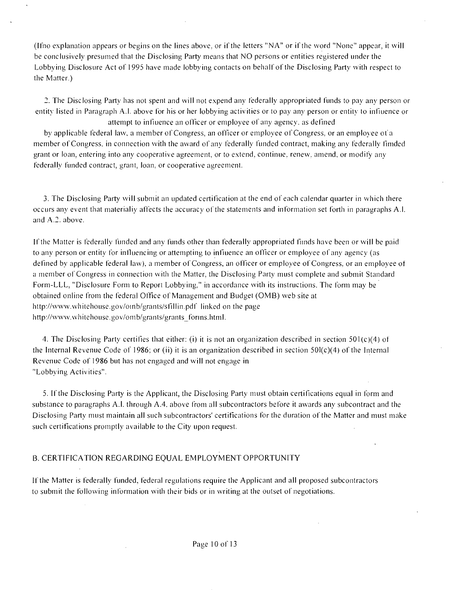(Ifno explanation appears or begins on the lines above, or if the letters "NA" or if the svord "None" appear, it svill be conclusively presumed lhat the Disclosing Parfy' means that NO persons or entities registered under the Lobbying Disclosure Act of 1995 have made lobbying contacts on behalf of the Disclosing Party with respect to the Matter.)

2. The Disclosing Party has nol spent and will not expend any federally appropriated funds to pay any person or entity listed in Paragraph A.l. above for his or her lobbying activities or to pay any person or entity to infiuence or attempt to infiuence an officer or employee of any agency, as defined

by applicable federal lasv, a member of Congress, an officer or employee of Congress, or an emplosee ol'a member of Congress, in connection with the award of any federally funded contract, making any federally fimded grant or loan, entering into any cooperative agreement, or to extend, continue, renew, amend, or modify any Federally funded contract, grant, loan, or cooperative agreement.

3. The Disclosing Parfy svill submit an updated certification at the end of each calendar quarter in svhich there occurs any event that materialiy affects the accuracy of the statements and information set forth in paragraphs A.l. and A.2. above.

If the Matter is federally funded and any funds other than federally appropriated fiinds have been or svill be paid to any person or entity for influencing or attempting lo infiuence an officer or employee of any agency (as defined by applicable federal law), a member of Congress, an officer or employee of Congress, or an employee of a member of Congress in connection with the Matter, the Disclosing Party must complete and submit Standard Form-LLL, "Disclosure Form lo Report Lobbying," in accordance svith its instructions. The form may be obtained online from the federal Office of Management and Budget (OMB) web site at http://www.whitehouse.gov/oinb/grants/sfillin.pdf linked on the page http://www.whitehouse.gov/omb/grants/grants\_forms.html.

4. The Disclosing Party certifies that either: (i) it is not an organization described in section 501(c)(4) of the Internal Revenue Code of 1986; or (ii) it is an organization described in section  $50I(c)(4)$  of the Internal Revenue Code of 1986 but has not engaged and will not engage in "Lobbying Activities".

5. If the Disclosing Parfy is the Applicant, the Disclosing Party musl obtain certifications equal in form and substance to paragraphs A.l. through A.4, above from all subcontractors before it awards any subcontract and the Disclosing Party must maintain all such subcontractors' certifications for the duration of the Matter and must make such certifications promptly available to the Cify upon request.

#### B. CERTIFICATION REGARDING EQUAL EMPLOYMENT OPPORTUNITY

If the Matter is federally funded, federal regulations require the Applicant and all proposed subcontractors to submit the following information with their bids or in writing at the outset of negotiations.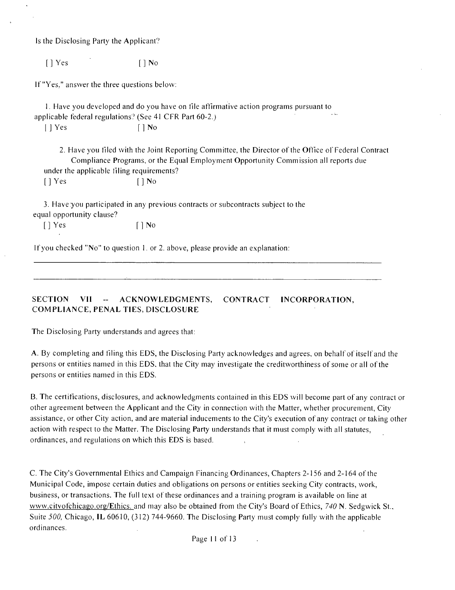Is the Disclosing Party the Applicant?

 $[ ]$  Yes  $[ ]$  No

If "Yes," answer the three questions below:

1. Have you developed and do you have on file affirmative action programs pursuant to applicable federal regulations? (See 41 CFR Part 60-2.)

 $| \ ]$  Yes  $\qquad \qquad$   $| \ ]$  No

2. Have you filed with the Joint Reporting Committee, the Director of the Office of Federal Contract Compliance Programs, or the Equal Employment Opportunity Commission all reports due under the applicable filing requirements?  $[ ]$  Yes  $[ ]$  No

3. Have you participated in any previous contracts or subcontracts subject lo the equal opportunify clause?

 $[$  | Yes  $[$  | No

If you checked "No" to question 1. or 2. above, please provide an explanation:

**SECTION VII - ACKNOWLEDGMENTS, CONTRACT INCORPORATION, COMPLIANCE, PENAL TIES, DISCLOSURE** 

The Disclosing Party understands and agrees that:

A. By completing and filing this EDS, the Disclosing Party acknowledges and agrees, on behalf of itself and the persons or entities named in this EDS, lhat the Cify may investigate the creditsvorthiness of some or all ofthe persons or entities named in this EDS.

B. The certifications, disclosures, and acknowledgments contained in this EDS will become part of any contract or other agreement between the Applicant and the City in connection with the Matter, whether procurement, City assistance, or other Cify action, and are material inducements to the Cify's execution of any contract or taking other action with respect to the Matter. The Disclosing Party understands that it must comply with all statutes, ordinances, and regulations on which this EDS is based.

C. The Cify's Governmental Ethics and Campaign Financing Ordinances, Chapters 2-156 and 2-164 ofthe Municipal Code, impose certain duties and obligations on persons or entities seeking City contracts, work, business, or transactions. The full lexl of these ordinances and a training program is available on line at www.citvofchicago.org/Ethics. and may also be obtained from the City's Board of Ethics, 740 N. Sedgwick St., Suite 500, Chicago, IL 60610, (312) 744-9660. The Disclosing Party must comply fully with the applicable ordinances.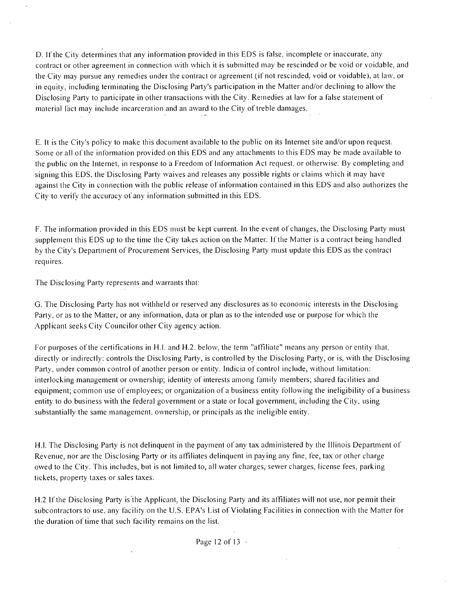D. If the City determines that any information provided in this EDS is false, incomplete or inaccurate, any contract or other agreement in connection with which it is submitted may be rescinded or be void or voidable, and the City may pursue any remedies under the contract or agreement (if not rescinded, void or voidable), at lasv, or in equity, including terminating the Disclosing Party's participation in the Matter and/or declining to allosv the Disclosing Party to participate in other transactions with the City. Remedies at law for a false statement of material lact may include incarceration and an award to the City of treble damages.

E. ll is the City's policy to make this document available to the public on its Internet site and/or upon request. Some or all ofthe information provided on this EDS and any attachments to this EDS may be made available to the public on the Internet, in response to a Freedom of Information Acl request, or olhersvise By completing and signing this EDS, the Disclosing Party waives and releases any possible rights or claims which it may have against the City in connection with the public release of information contained in this EDS and also authorizes the City to verify the accuracy of any information submitted in this EDS.

F. The information provided in this EDS must be kept current. In the event of changes, the Disclosing Parfy musl supplement this EDS up to the time the City takes action on the Matter. If the Matter is a contract being handled by the City's Department of Procurement Services, the Disclosing Parfy musl update this EDS as the contract requires.

The Disclosing Party represents and warrants that:

G. The Disclosing Party has not withheld or reserved any disclosures as to economic interests in the Disclosing Party, or as to the Matter, or any information, data or plan as to the intended use or purpose for svhich the .Applicant seeks City Councilor other City agency action.

For purposes of the certifications in H.I. and H.2. below, the term "affiliate" means any person or entity that, directly or indirectly: controls the Disclosing Party, is controlled by the Disclosing Party, or is, with the Disclosing Party, under common control of another person or entity. Indicia of control include, without limitation: interlocking management or ownership; identity of interests among family members; shared facilities and equipment; common use of employees; or organization of a business entity following the ineligibility of a business entity to do business with the federal government or a state or local government, including the City, using substantially the same management, ownership, or principals as the ineligible entity.

H.l. The Disclosing Party is not delinquent in the payment of any tax administered by the Illinois Departmeni of Revenue, nor are the Disclosing Parfy' or its affiliates delinquent in paying any fine, fee, tax or other charge owed to the City. This includes, but is not limited to, all water charges, sewer charges, license fees, parking tickets, property taxes or sales taxes.

H.2 If the Disclosing Parfy is the Applicant, the Disclosing Parfy and its affiliates will not use, nor pemiit their subcontractors to use, any facility on the U.S. EPA's List of Violating Facilities in connection with the Matter for the duration of time that such facility remains on the list.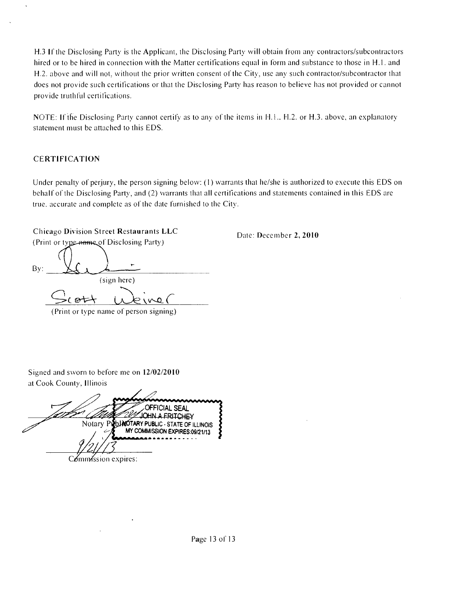H.3 If the Disclosing Party is the Applicant, the Disclosing Party svill obtain from any contractors/subcontractors hired or to be hired in connection with the Matter certifications equal in form and substance to those in H.1. and H.2. above and will not, without the prior written consent of the City, use any such contractor/subcontractor that does nol provide such cerlifications or lhat the Disclosing Parfy has reason to believe has not provided or cannot provide truthful certifications.

NOTE: If the Disclosing Party cannot certify as to any of the items in H.1., H.2. or H.3. above, an explanatory statement must be attached to this EDS.

### **CERTIFICATION**

Under penalty of perjury, the person signing below: (1) warrants that he/she is authorized to execute this EDS on behalf of the Disclosing Party, and (2) warrants that all certifications and statements contained in this EDS are true, accurate and complete as of the date furnished to the City.

**Chicago Division Street Restaurants LLC**  (Print or type name of Disclosing Party)

By: (sign here) ott  $\sim$  0 (Print or type name of person signing)

**Date: December 2, 2010** 

Signed and sworn to before me on 12/02/2010 at Cook County, Illinois

**OFFICIAL SEAL JOHN A FRITCHEY** Notary PLUNOTARY PUBLIC - STATE OF ILLINOIS MY COMMISSION EXPIRES:09/21/13  $C\delta$ mn $\delta$ ssion expires: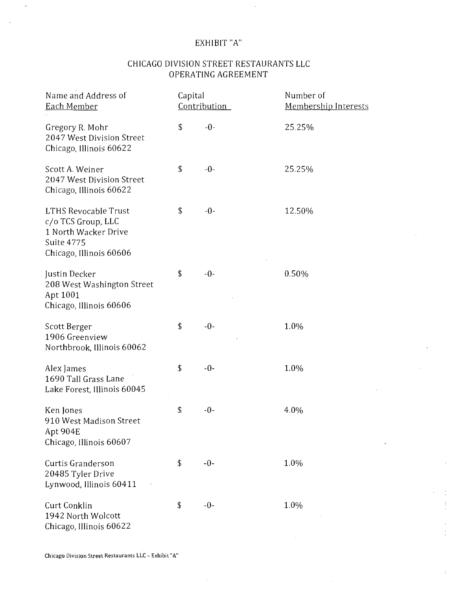## EXHIBIT "A"

## CHICAGO DIVISION STREET RESTAURANTS LLC OPERATING AGREEMENT

| Name and Address of<br>Each Member                                                                                 | Capital<br>Contribution |       | Number of<br>Membership Interests |  |
|--------------------------------------------------------------------------------------------------------------------|-------------------------|-------|-----------------------------------|--|
| Gregory R. Mohr<br>2047 West Division Street<br>Chicago, Illinois 60622                                            | \$                      | $-0-$ | 25.25%                            |  |
| Scott A. Weiner<br>2047 West Division Street<br>Chicago, Illinois 60622                                            | \$                      | $-0-$ | 25.25%                            |  |
| LTHS Revocable Trust<br>c/o TCS Group, LLC<br>1 North Wacker Drive<br><b>Suite 4775</b><br>Chicago, Illinois 60606 | \$                      | $-0-$ | 12.50%                            |  |
| Justin Decker<br>208 West Washington Street<br>Apt 1001<br>Chicago, Illinois 60606                                 | \$                      | $-0-$ | 0.50%                             |  |
| Scott Berger<br>1906 Greenview<br>Northbrook, Illinois 60062                                                       | \$                      | $-0-$ | 1.0%                              |  |
| Alex James<br>1690 Tall Grass Lane<br>Lake Forest, Illinois 60045                                                  | \$                      | $-0-$ | 1.0%                              |  |
| Ken Jones<br>910 West Madison Street<br>Apt 904E<br>Chicago, Illinois 60607                                        | \$                      | $-0-$ | 4.0%                              |  |
| Curtis Granderson<br>20485 Tyler Drive<br>Lynwood, Illinois 60411                                                  | \$                      | $-0-$ | 1.0%                              |  |
| Curt Conklin<br>1942 North Wolcott<br>Chicago, Illinois 60622                                                      | \$                      | $-0-$ | 1.0%                              |  |

 $\ddot{\ddot{\text{}}}$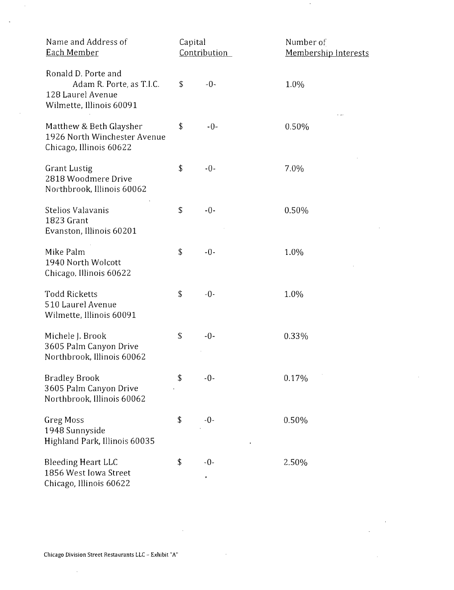| Name and Address of<br>Each Member                                                               | Capital<br>Contribution |            | Number of<br>Membership Interests |
|--------------------------------------------------------------------------------------------------|-------------------------|------------|-----------------------------------|
| Ronald D. Porte and<br>Adam R. Porte, as T.I.C.<br>128 Laurel Avenue<br>Wilmette, Illinois 60091 | \$                      | $-0-$      | 1.0%                              |
| Matthew & Beth Glaysher<br>1926 North Winchester Avenue<br>Chicago, Illinois 60622               | \$                      | $-0-$      | 0.50%                             |
| <b>Grant Lustig</b><br>2818 Woodmere Drive<br>Northbrook, Illinois 60062                         | \$                      | $-0-$      | 7.0%                              |
| Stelios Valavanis<br>1823 Grant<br>Evanston, Illinois 60201                                      | \$                      | $-0-$      | 0.50%                             |
| Mike Palm<br>1940 North Wolcott<br>Chicago, Illinois 60622                                       | \$                      | $-0-$      | 1.0%                              |
| <b>Todd Ricketts</b><br>510 Laurel Avenue<br>Wilmette, Illinois 60091                            | \$                      | $-0-$      | 1.0%                              |
| Michele J. Brook<br>3605 Palm Canyon Drive<br>Northbrook, Illinois 60062                         | \$                      | $-0-$      | 0.33%                             |
| <b>Bradley Brook</b><br>3605 Palm Canyon Drive<br>Northbrook, Illinois 60062                     | \$                      | $-0-$      | 0.17%                             |
| <b>Greg Moss</b><br>1948 Sunnyside<br>Highland Park, Illinois 60035                              | \$                      | $-0-$      | 0.50%                             |
| <b>Bleeding Heart LLC</b><br>1856 West Iowa Street<br>Chicago, Illinois 60622                    | \$                      | $-0-$<br>, | 2.50%                             |

 $\ddot{\phantom{a}}$ 

 $\hat{\mathcal{A}}$ 

 $\mathcal{L}^{\text{max}}_{\text{max}}$  and  $\mathcal{L}^{\text{max}}_{\text{max}}$ 

 $\sim 400$ 

 $\hat{\mathcal{L}}$ 

 $\sim$ 

 $\sim 10$ 

 $\sim 10^6$ 

 $\bar{z}$ 

 $\sim$ 

 $\sim 10$ 

 $\sim 10$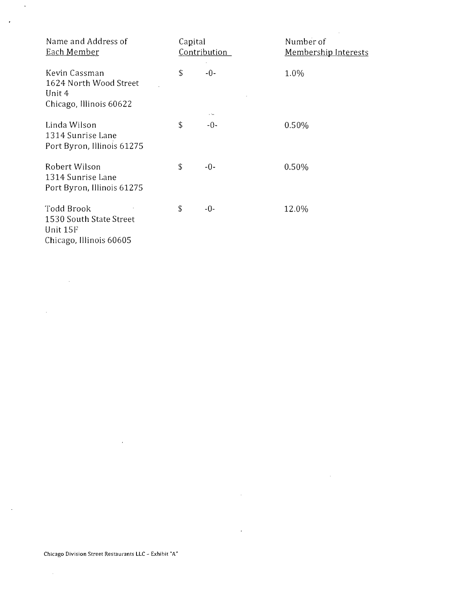| Name and Address of<br>Each Member                                           | Capital<br>Contribution |                     | Number of<br><b>Membership Interests</b> |
|------------------------------------------------------------------------------|-------------------------|---------------------|------------------------------------------|
| Kevin Cassman<br>1624 North Wood Street<br>Unit 4<br>Chicago, Illinois 60622 | \$                      | $-0-$               | 1.0%                                     |
| Linda Wilson<br>1314 Sunrise Lane<br>Port Byron, Illinois 61275              | \$                      | . <u>.</u><br>$-0-$ | 0.50%                                    |
| Robert Wilson<br>1314 Sunrise Lane<br>Port Byron, Illinois 61275             | \$                      | $-0-$               | 0.50%                                    |
| Todd Brook<br>1530 South State Street<br>Unit 15F<br>Chicago, Illinois 60605 | \$                      | $-0-$               | 12.0%                                    |

 $\sim$ 

 $\sim$   $\sim$ 

 $\mathbb{Z}^{\mathbb{Z}}$ 

 $\mathbf{r}$ 

 $\sim 10^{11}$ 

 $\sim 10^{-1}$ 

 $\sim$   $\sim$ 

 $\sim$ 

 $\langle \cdot \rangle$ 

 $\sim$   $\epsilon$